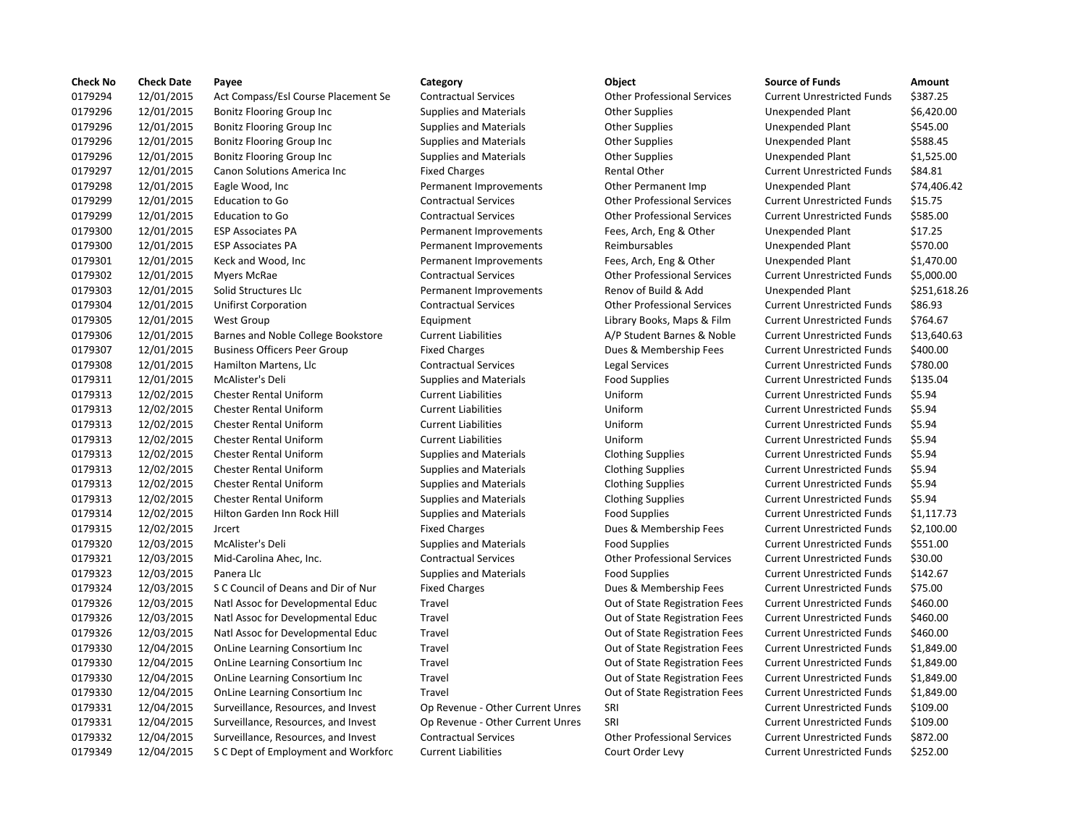| <b>Check No</b> | <b>Check Date</b> | Payee                               | Category                         | Object                                | <b>Source of Funds</b>            | Amount       |
|-----------------|-------------------|-------------------------------------|----------------------------------|---------------------------------------|-----------------------------------|--------------|
| 0179294         | 12/01/2015        | Act Compass/Esl Course Placement Se | <b>Contractual Services</b>      | <b>Other Professional Services</b>    | <b>Current Unrestricted Funds</b> | \$387.25     |
| 0179296         | 12/01/2015        | <b>Bonitz Flooring Group Inc</b>    | <b>Supplies and Materials</b>    | <b>Other Supplies</b>                 | <b>Unexpended Plant</b>           | \$6,420.00   |
| 0179296         | 12/01/2015        | <b>Bonitz Flooring Group Inc</b>    | <b>Supplies and Materials</b>    | <b>Other Supplies</b>                 | <b>Unexpended Plant</b>           | \$545.00     |
| 0179296         | 12/01/2015        | <b>Bonitz Flooring Group Inc</b>    | <b>Supplies and Materials</b>    | <b>Other Supplies</b>                 | Unexpended Plant                  | \$588.45     |
| 0179296         | 12/01/2015        | <b>Bonitz Flooring Group Inc</b>    | <b>Supplies and Materials</b>    | <b>Other Supplies</b>                 | Unexpended Plant                  | \$1,525.00   |
| 0179297         | 12/01/2015        | Canon Solutions America Inc         | <b>Fixed Charges</b>             | <b>Rental Other</b>                   | <b>Current Unrestricted Funds</b> | \$84.81      |
| 0179298         | 12/01/2015        | Eagle Wood, Inc.                    | Permanent Improvements           | Other Permanent Imp                   | <b>Unexpended Plant</b>           | \$74,406.42  |
| 0179299         | 12/01/2015        | <b>Education to Go</b>              | <b>Contractual Services</b>      | <b>Other Professional Services</b>    | <b>Current Unrestricted Funds</b> | \$15.75      |
| 0179299         | 12/01/2015        | <b>Education to Go</b>              | <b>Contractual Services</b>      | <b>Other Professional Services</b>    | <b>Current Unrestricted Funds</b> | \$585.00     |
| 0179300         | 12/01/2015        | <b>ESP Associates PA</b>            | Permanent Improvements           | Fees, Arch, Eng & Other               | <b>Unexpended Plant</b>           | \$17.25      |
| 0179300         | 12/01/2015        | <b>ESP Associates PA</b>            | Permanent Improvements           | Reimbursables                         | Unexpended Plant                  | \$570.00     |
| 0179301         | 12/01/2015        | Keck and Wood, Inc                  | Permanent Improvements           | Fees, Arch, Eng & Other               | Unexpended Plant                  | \$1,470.00   |
| 0179302         | 12/01/2015        | Myers McRae                         | <b>Contractual Services</b>      | <b>Other Professional Services</b>    | <b>Current Unrestricted Funds</b> | \$5,000.00   |
| 0179303         | 12/01/2015        | Solid Structures Llc                | Permanent Improvements           | Renov of Build & Add                  | <b>Unexpended Plant</b>           | \$251,618.26 |
| 0179304         | 12/01/2015        | <b>Unifirst Corporation</b>         | <b>Contractual Services</b>      | <b>Other Professional Services</b>    | <b>Current Unrestricted Funds</b> | \$86.93      |
| 0179305         | 12/01/2015        | <b>West Group</b>                   | Equipment                        | Library Books, Maps & Film            | <b>Current Unrestricted Funds</b> | \$764.67     |
| 0179306         | 12/01/2015        | Barnes and Noble College Bookstore  | <b>Current Liabilities</b>       | A/P Student Barnes & Noble            | <b>Current Unrestricted Funds</b> | \$13,640.63  |
| 0179307         | 12/01/2015        | <b>Business Officers Peer Group</b> | <b>Fixed Charges</b>             | Dues & Membership Fees                | <b>Current Unrestricted Funds</b> | \$400.00     |
| 0179308         | 12/01/2015        | Hamilton Martens, Llc               | <b>Contractual Services</b>      | Legal Services                        | <b>Current Unrestricted Funds</b> | \$780.00     |
| 0179311         | 12/01/2015        | McAlister's Deli                    | <b>Supplies and Materials</b>    | <b>Food Supplies</b>                  | <b>Current Unrestricted Funds</b> | \$135.04     |
| 0179313         | 12/02/2015        | <b>Chester Rental Uniform</b>       | <b>Current Liabilities</b>       | Uniform                               | <b>Current Unrestricted Funds</b> | \$5.94       |
| 0179313         | 12/02/2015        | <b>Chester Rental Uniform</b>       | <b>Current Liabilities</b>       | Uniform                               | <b>Current Unrestricted Funds</b> | \$5.94       |
| 0179313         | 12/02/2015        | <b>Chester Rental Uniform</b>       | <b>Current Liabilities</b>       | Uniform                               | <b>Current Unrestricted Funds</b> | \$5.94       |
| 0179313         | 12/02/2015        | <b>Chester Rental Uniform</b>       | <b>Current Liabilities</b>       | Uniform                               | <b>Current Unrestricted Funds</b> | \$5.94       |
| 0179313         | 12/02/2015        | <b>Chester Rental Uniform</b>       | <b>Supplies and Materials</b>    | <b>Clothing Supplies</b>              | <b>Current Unrestricted Funds</b> | \$5.94       |
| 0179313         | 12/02/2015        | <b>Chester Rental Uniform</b>       | <b>Supplies and Materials</b>    | <b>Clothing Supplies</b>              | <b>Current Unrestricted Funds</b> | \$5.94       |
| 0179313         | 12/02/2015        | <b>Chester Rental Uniform</b>       | <b>Supplies and Materials</b>    | <b>Clothing Supplies</b>              | <b>Current Unrestricted Funds</b> | \$5.94       |
| 0179313         | 12/02/2015        | <b>Chester Rental Uniform</b>       | <b>Supplies and Materials</b>    | <b>Clothing Supplies</b>              | <b>Current Unrestricted Funds</b> | \$5.94       |
| 0179314         | 12/02/2015        | Hilton Garden Inn Rock Hill         | <b>Supplies and Materials</b>    | <b>Food Supplies</b>                  | <b>Current Unrestricted Funds</b> | \$1,117.73   |
| 0179315         | 12/02/2015        | <b>Jrcert</b>                       | <b>Fixed Charges</b>             | Dues & Membership Fees                | <b>Current Unrestricted Funds</b> | \$2,100.00   |
| 0179320         | 12/03/2015        | McAlister's Deli                    | <b>Supplies and Materials</b>    | <b>Food Supplies</b>                  | <b>Current Unrestricted Funds</b> | \$551.00     |
| 0179321         | 12/03/2015        | Mid-Carolina Ahec, Inc.             | <b>Contractual Services</b>      | <b>Other Professional Services</b>    | <b>Current Unrestricted Funds</b> | \$30.00      |
| 0179323         | 12/03/2015        | Panera Llc                          | <b>Supplies and Materials</b>    | <b>Food Supplies</b>                  | <b>Current Unrestricted Funds</b> | \$142.67     |
| 0179324         | 12/03/2015        | S C Council of Deans and Dir of Nur | <b>Fixed Charges</b>             | Dues & Membership Fees                | <b>Current Unrestricted Funds</b> | \$75.00      |
| 0179326         | 12/03/2015        | Natl Assoc for Developmental Educ   | Travel                           | Out of State Registration Fees        | <b>Current Unrestricted Funds</b> | \$460.00     |
| 0179326         | 12/03/2015        | Natl Assoc for Developmental Educ   | Travel                           | Out of State Registration Fees        | <b>Current Unrestricted Funds</b> | \$460.00     |
| 0179326         | 12/03/2015        | Natl Assoc for Developmental Educ   | Travel                           | Out of State Registration Fees        | <b>Current Unrestricted Funds</b> | \$460.00     |
| 0179330         | 12/04/2015        | OnLine Learning Consortium Inc      | Travel                           | Out of State Registration Fees        | <b>Current Unrestricted Funds</b> | \$1,849.00   |
| 0179330         | 12/04/2015        | OnLine Learning Consortium Inc      | Travel                           | Out of State Registration Fees        | <b>Current Unrestricted Funds</b> | \$1,849.00   |
| 0179330         | 12/04/2015        | OnLine Learning Consortium Inc      | Travel                           | Out of State Registration Fees        | <b>Current Unrestricted Funds</b> | \$1,849.00   |
| 0179330         | 12/04/2015        | OnLine Learning Consortium Inc      | Travel                           |                                       | <b>Current Unrestricted Funds</b> | \$1,849.00   |
| 0179331         | 12/04/2015        |                                     | Op Revenue - Other Current Unres | Out of State Registration Fees<br>SRI | <b>Current Unrestricted Funds</b> | \$109.00     |
| 0179331         | 12/04/2015        | Surveillance, Resources, and Invest |                                  | SRI                                   | <b>Current Unrestricted Funds</b> | \$109.00     |
|                 |                   | Surveillance, Resources, and Invest | Op Revenue - Other Current Unres |                                       |                                   |              |
| 0179332         | 12/04/2015        | Surveillance, Resources, and Invest | <b>Contractual Services</b>      | <b>Other Professional Services</b>    | <b>Current Unrestricted Funds</b> | \$872.00     |
| 0179349         | 12/04/2015        | S C Dept of Employment and Workforc | <b>Current Liabilities</b>       | Court Order Levy                      | <b>Current Unrestricted Funds</b> | \$252.00     |

# 0179294 12/01/2015 Act Compass/Esl Course Placement Se Contractual Services Other Professional Services Current Unrestricted Funds \$387.25 narges The Current Unrestricted Funds America Inc. Fixed Current Unrestricted Funds \$84.81 ent Improvements **1201** Other Permanent Imp Unexpended Plant 574,406.42 0179299 12/01/2015 Education to Go Contractual Services Other Professional Services Current Unrestricted Funds \$15.75 0179299 12/01/2015 Education to Go Contractual Services Other Professional Services Current Unrestricted Funds \$585.00 ent Improvements Fees, Arch, Eng & Other Unexpended Plant \$17.25 ent Improvements Fees, Arch, Eng & Other Unexpended Plant \$1,470.00 0179302 12/01/2015 Myers McRae Contractual Services Other Professional Services Current Unrestricted Funds \$5,000.00 0179304 12/01/2015 Unifirst Corporation Contractual Services Other Professional Services Current Unrestricted Funds \$86.93 0179305 12/01/2015 West Group Equipment Library Books, Maps & Film Current Unrestricted Funds \$764.67 Liabilities **Example 2017** A/P Student Barnes & Noble Current Unrestricted Funds \$13,640.63 narges **1202** 1202 Bues & Membership Fees Current Unrestricted Funds \$400.00 0179308 12/01/2015 Hamilton Martens, Llc Contractual Services Legal Services Current Unrestricted Funds \$780.00 0179311 12/01/2015 McAlister's Deli Supplies and Materials Food Supplies Current Unrestricted Funds \$135.04 0179313 12/02/2015 Chester Rental Uniform Current Liabilities Uniform Current Unrestricted Funds \$5.94 0179313 12/02/2015 Chester Rental Uniform Current Liabilities Uniform Current Unrestricted Funds \$5.94 0179313 12/02/2015 Chester Rental Uniform Current Liabilities Uniform Current Unrestricted Funds \$5.94 0179313 12/02/2015 Chester Rental Uniform Current Liabilities Uniform Current Unrestricted Funds \$5.94 0179313 12/02/2015 Chester Rental Uniform Supplies and Materials Clothing Supplies Current Unrestricted Funds \$5.94 and Materials **6.2015 Clothing Supplies Current Unrestricted Funds** 55.94 and Materials **12020 Clothing Supplies Current Unrestricted Funds** 55.94 onal Materials **12021 Clothing Supplies Current Unrestricted Funds** 55.94 ond Materials **Example Inn Rock Hilton Current Unrestricted Funds** Food Supplies Current Unrestricted Funds 61,117.73 harges The Superstitute of the Current Unrestricted Funds 52,100.00 0179320 12/03/2015 McAlister's Deli Supplies and Materials Food Supplies Current Unrestricted Funds \$551.00 0179321 12/03/2015 Mid‐Carolina Ahec, Inc. Contractual Services Other Professional Services Current Unrestricted Funds \$30.00 0179323 12/03/2015 Panera Llc Supplies and Materials Food Supplies Current Unrestricted Funds \$142.67 darges The Sounds and Dues & Membership Fees Current Unrestricted Funds \$75.00 Out of State Registration Fees Current Unrestricted Funds \$460.00 Out of State Registration Fees Current Unrestricted Funds \$460.00 Out of State Registration Fees Current Unrestricted Funds \$460.00 Out of State Registration Fees Current Unrestricted Funds \$1,849.00 Out of State Registration Fees Current Unrestricted Funds \$1,849.00 Out of State Registration Fees Current Unrestricted Funds \$1,849.00 Out of State Registration Fees Current Unrestricted Funds \$1,849.00 0179331 12/04/2015 Surveillance, Resources, and Invest Op Revenue ‐ Other Current Unres SRI Current Unrestricted Funds \$109.00 enue - Other Current Unres SRI Current Unrestricted Funds \$109.00 0179332 12/04/2015 Surveillance, Resources, and Invest Contractual Services Other Professional Services Current Unrestricted Funds \$872.00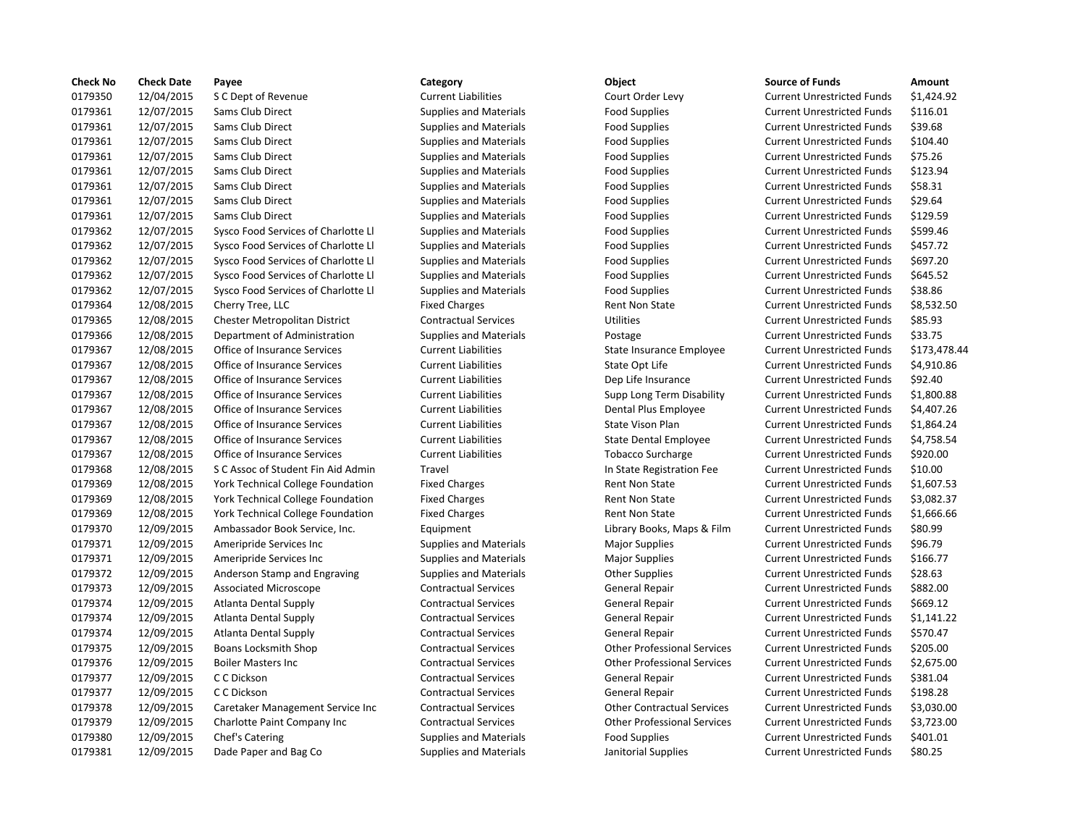| <b>Check No</b> | <b>Check Date</b> | Payee                               | Category                      | Object                             | <b>Source of Funds</b>            | Amount    |
|-----------------|-------------------|-------------------------------------|-------------------------------|------------------------------------|-----------------------------------|-----------|
| 0179350         | 12/04/2015        | S C Dept of Revenue                 | <b>Current Liabilities</b>    | Court Order Levy                   | <b>Current Unrestricted Funds</b> | \$1,424.9 |
| 0179361         | 12/07/2015        | Sams Club Direct                    | <b>Supplies and Materials</b> | <b>Food Supplies</b>               | <b>Current Unrestricted Funds</b> | \$116.01  |
| 0179361         | 12/07/2015        | Sams Club Direct                    | <b>Supplies and Materials</b> | <b>Food Supplies</b>               | <b>Current Unrestricted Funds</b> | \$39.68   |
| 0179361         | 12/07/2015        | Sams Club Direct                    | <b>Supplies and Materials</b> | <b>Food Supplies</b>               | <b>Current Unrestricted Funds</b> | \$104.40  |
| 0179361         | 12/07/2015        | Sams Club Direct                    | <b>Supplies and Materials</b> | <b>Food Supplies</b>               | <b>Current Unrestricted Funds</b> | \$75.26   |
| 0179361         | 12/07/2015        | Sams Club Direct                    | <b>Supplies and Materials</b> | <b>Food Supplies</b>               | <b>Current Unrestricted Funds</b> | \$123.94  |
| 0179361         | 12/07/2015        | Sams Club Direct                    | <b>Supplies and Materials</b> | <b>Food Supplies</b>               | <b>Current Unrestricted Funds</b> | \$58.31   |
| 0179361         | 12/07/2015        | Sams Club Direct                    | <b>Supplies and Materials</b> | <b>Food Supplies</b>               | <b>Current Unrestricted Funds</b> | \$29.64   |
| 0179361         | 12/07/2015        | Sams Club Direct                    | <b>Supplies and Materials</b> | <b>Food Supplies</b>               | <b>Current Unrestricted Funds</b> | \$129.59  |
| 0179362         | 12/07/2015        | Sysco Food Services of Charlotte Ll | <b>Supplies and Materials</b> | <b>Food Supplies</b>               | <b>Current Unrestricted Funds</b> | \$599.46  |
| 0179362         | 12/07/2015        | Sysco Food Services of Charlotte Ll | <b>Supplies and Materials</b> | <b>Food Supplies</b>               | <b>Current Unrestricted Funds</b> | \$457.72  |
| 0179362         | 12/07/2015        | Sysco Food Services of Charlotte Ll | <b>Supplies and Materials</b> | <b>Food Supplies</b>               | <b>Current Unrestricted Funds</b> | \$697.20  |
| 0179362         | 12/07/2015        | Sysco Food Services of Charlotte Ll | <b>Supplies and Materials</b> | <b>Food Supplies</b>               | <b>Current Unrestricted Funds</b> | \$645.52  |
| 0179362         | 12/07/2015        | Sysco Food Services of Charlotte Ll | <b>Supplies and Materials</b> | <b>Food Supplies</b>               | <b>Current Unrestricted Funds</b> | \$38.86   |
| 0179364         | 12/08/2015        | Cherry Tree, LLC                    | <b>Fixed Charges</b>          | <b>Rent Non State</b>              | <b>Current Unrestricted Funds</b> | \$8,532.5 |
| 0179365         | 12/08/2015        | Chester Metropolitan District       | <b>Contractual Services</b>   | <b>Utilities</b>                   | <b>Current Unrestricted Funds</b> | \$85.93   |
| 0179366         | 12/08/2015        | Department of Administration        | <b>Supplies and Materials</b> | Postage                            | <b>Current Unrestricted Funds</b> | \$33.75   |
| 0179367         | 12/08/2015        | Office of Insurance Services        | <b>Current Liabilities</b>    | State Insurance Employee           | <b>Current Unrestricted Funds</b> | \$173,47  |
| 0179367         | 12/08/2015        | Office of Insurance Services        | <b>Current Liabilities</b>    | State Opt Life                     | <b>Current Unrestricted Funds</b> | \$4,910.8 |
| 0179367         | 12/08/2015        | Office of Insurance Services        | <b>Current Liabilities</b>    | Dep Life Insurance                 | <b>Current Unrestricted Funds</b> | \$92.40   |
| 0179367         | 12/08/2015        | Office of Insurance Services        | <b>Current Liabilities</b>    | Supp Long Term Disability          | <b>Current Unrestricted Funds</b> | \$1,800.8 |
| 0179367         | 12/08/2015        | Office of Insurance Services        | <b>Current Liabilities</b>    | Dental Plus Employee               | <b>Current Unrestricted Funds</b> | \$4,407.2 |
| 0179367         | 12/08/2015        | Office of Insurance Services        | <b>Current Liabilities</b>    | <b>State Vison Plan</b>            | <b>Current Unrestricted Funds</b> | \$1,864.2 |
| 0179367         | 12/08/2015        | Office of Insurance Services        | <b>Current Liabilities</b>    | <b>State Dental Employee</b>       | <b>Current Unrestricted Funds</b> | \$4,758.5 |
| 0179367         | 12/08/2015        | <b>Office of Insurance Services</b> | <b>Current Liabilities</b>    | <b>Tobacco Surcharge</b>           | <b>Current Unrestricted Funds</b> | \$920.00  |
| 0179368         | 12/08/2015        | S C Assoc of Student Fin Aid Admin  | Travel                        | In State Registration Fee          | <b>Current Unrestricted Funds</b> | \$10.00   |
| 0179369         | 12/08/2015        | York Technical College Foundation   | <b>Fixed Charges</b>          | <b>Rent Non State</b>              | <b>Current Unrestricted Funds</b> | \$1,607.5 |
| 0179369         | 12/08/2015        | York Technical College Foundation   | <b>Fixed Charges</b>          | <b>Rent Non State</b>              | <b>Current Unrestricted Funds</b> | \$3,082.3 |
| 0179369         | 12/08/2015        | York Technical College Foundation   | <b>Fixed Charges</b>          | <b>Rent Non State</b>              | <b>Current Unrestricted Funds</b> | \$1,666.6 |
| 0179370         | 12/09/2015        | Ambassador Book Service, Inc.       | Equipment                     | Library Books, Maps & Film         | <b>Current Unrestricted Funds</b> | \$80.99   |
| 0179371         | 12/09/2015        | Ameripride Services Inc             | <b>Supplies and Materials</b> | <b>Major Supplies</b>              | <b>Current Unrestricted Funds</b> | \$96.79   |
| 0179371         | 12/09/2015        | Ameripride Services Inc             | <b>Supplies and Materials</b> | <b>Major Supplies</b>              | <b>Current Unrestricted Funds</b> | \$166.77  |
| 0179372         | 12/09/2015        | Anderson Stamp and Engraving        | <b>Supplies and Materials</b> | <b>Other Supplies</b>              | <b>Current Unrestricted Funds</b> | \$28.63   |
| 0179373         | 12/09/2015        | <b>Associated Microscope</b>        | <b>Contractual Services</b>   | General Repair                     | <b>Current Unrestricted Funds</b> | \$882.00  |
| 0179374         | 12/09/2015        | Atlanta Dental Supply               | <b>Contractual Services</b>   | General Repair                     | <b>Current Unrestricted Funds</b> | \$669.12  |
| 0179374         | 12/09/2015        | Atlanta Dental Supply               | <b>Contractual Services</b>   | General Repair                     | <b>Current Unrestricted Funds</b> | \$1,141.2 |
| 0179374         | 12/09/2015        | <b>Atlanta Dental Supply</b>        | <b>Contractual Services</b>   | General Repair                     | <b>Current Unrestricted Funds</b> | \$570.47  |
| 0179375         | 12/09/2015        | Boans Locksmith Shop                | <b>Contractual Services</b>   | <b>Other Professional Services</b> | <b>Current Unrestricted Funds</b> | \$205.00  |
| 0179376         | 12/09/2015        | <b>Boiler Masters Inc</b>           | <b>Contractual Services</b>   | <b>Other Professional Services</b> | <b>Current Unrestricted Funds</b> | \$2,675.0 |
| 0179377         | 12/09/2015        | C C Dickson                         | <b>Contractual Services</b>   | <b>General Repair</b>              | <b>Current Unrestricted Funds</b> | \$381.04  |
| 0179377         | 12/09/2015        | C C Dickson                         | <b>Contractual Services</b>   | <b>General Repair</b>              | <b>Current Unrestricted Funds</b> | \$198.28  |
| 0179378         | 12/09/2015        | Caretaker Management Service Inc    | <b>Contractual Services</b>   | <b>Other Contractual Services</b>  | <b>Current Unrestricted Funds</b> | \$3,030.0 |
| 0179379         | 12/09/2015        | Charlotte Paint Company Inc         | <b>Contractual Services</b>   | <b>Other Professional Services</b> | <b>Current Unrestricted Funds</b> | \$3,723.0 |
| 0179380         | 12/09/2015        | Chef's Catering                     | <b>Supplies and Materials</b> | <b>Food Supplies</b>               | <b>Current Unrestricted Funds</b> | \$401.01  |
| 0179381         | 12/09/2015        | Dade Paper and Bag Co               | <b>Supplies and Materials</b> | Janitorial Supplies                | <b>Current Unrestricted Funds</b> | \$80.25   |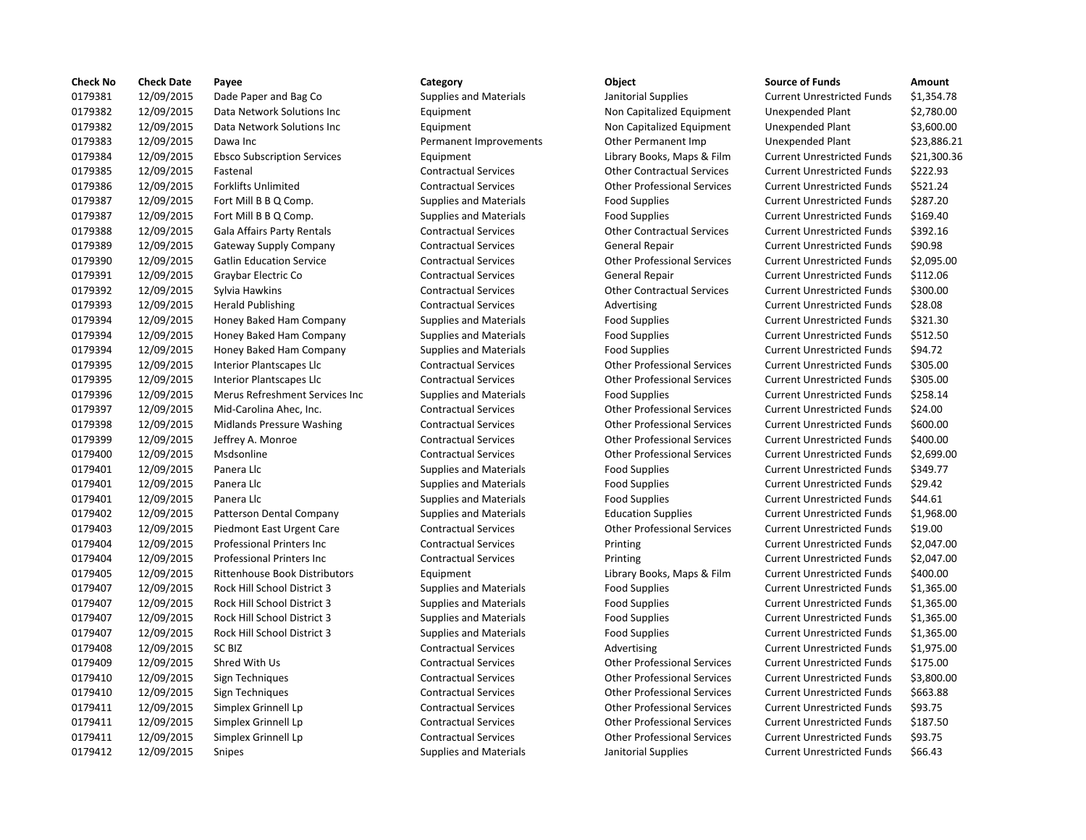| <b>Check No</b> | <b>Check Date</b> | Payee                              | Category                      | Object                             | <b>Source of Funds</b>            | Amount    |
|-----------------|-------------------|------------------------------------|-------------------------------|------------------------------------|-----------------------------------|-----------|
| 0179381         | 12/09/2015        | Dade Paper and Bag Co              | <b>Supplies and Materials</b> | Janitorial Supplies                | <b>Current Unrestricted Funds</b> | \$1,354.7 |
| 0179382         | 12/09/2015        | Data Network Solutions Inc         | Equipment                     | Non Capitalized Equipment          | <b>Unexpended Plant</b>           | \$2,780.0 |
| 0179382         | 12/09/2015        | Data Network Solutions Inc         | Equipment                     | Non Capitalized Equipment          | Unexpended Plant                  | \$3,600.0 |
| 0179383         | 12/09/2015        | Dawa Inc                           | Permanent Improvements        | Other Permanent Imp                | Unexpended Plant                  | \$23,886  |
| 0179384         | 12/09/2015        | <b>Ebsco Subscription Services</b> | Equipment                     | Library Books, Maps & Film         | <b>Current Unrestricted Funds</b> | \$21,300  |
| 0179385         | 12/09/2015        | Fastenal                           | <b>Contractual Services</b>   | <b>Other Contractual Services</b>  | <b>Current Unrestricted Funds</b> | \$222.93  |
| 0179386         | 12/09/2015        | <b>Forklifts Unlimited</b>         | <b>Contractual Services</b>   | <b>Other Professional Services</b> | <b>Current Unrestricted Funds</b> | \$521.24  |
| 0179387         | 12/09/2015        | Fort Mill B B Q Comp.              | <b>Supplies and Materials</b> | <b>Food Supplies</b>               | <b>Current Unrestricted Funds</b> | \$287.20  |
| 0179387         | 12/09/2015        | Fort Mill B B Q Comp.              | <b>Supplies and Materials</b> | <b>Food Supplies</b>               | <b>Current Unrestricted Funds</b> | \$169.40  |
| 0179388         | 12/09/2015        | <b>Gala Affairs Party Rentals</b>  | <b>Contractual Services</b>   | <b>Other Contractual Services</b>  | <b>Current Unrestricted Funds</b> | \$392.16  |
| 0179389         | 12/09/2015        | Gateway Supply Company             | <b>Contractual Services</b>   | <b>General Repair</b>              | <b>Current Unrestricted Funds</b> | \$90.98   |
| 0179390         | 12/09/2015        | <b>Gatlin Education Service</b>    | <b>Contractual Services</b>   | <b>Other Professional Services</b> | <b>Current Unrestricted Funds</b> | \$2,095.0 |
| 0179391         | 12/09/2015        | Graybar Electric Co                | <b>Contractual Services</b>   | <b>General Repair</b>              | <b>Current Unrestricted Funds</b> | \$112.06  |
| 0179392         | 12/09/2015        | Sylvia Hawkins                     | <b>Contractual Services</b>   | <b>Other Contractual Services</b>  | <b>Current Unrestricted Funds</b> | \$300.00  |
| 0179393         | 12/09/2015        | <b>Herald Publishing</b>           | <b>Contractual Services</b>   | Advertising                        | <b>Current Unrestricted Funds</b> | \$28.08   |
| 0179394         | 12/09/2015        | Honey Baked Ham Company            | <b>Supplies and Materials</b> | <b>Food Supplies</b>               | <b>Current Unrestricted Funds</b> | \$321.30  |
| 0179394         | 12/09/2015        | Honey Baked Ham Company            | <b>Supplies and Materials</b> | <b>Food Supplies</b>               | <b>Current Unrestricted Funds</b> | \$512.50  |
| 0179394         | 12/09/2015        | Honey Baked Ham Company            | <b>Supplies and Materials</b> | <b>Food Supplies</b>               | <b>Current Unrestricted Funds</b> | \$94.72   |
| 0179395         | 12/09/2015        | <b>Interior Plantscapes Llc</b>    | <b>Contractual Services</b>   | <b>Other Professional Services</b> | <b>Current Unrestricted Funds</b> | \$305.00  |
| 0179395         | 12/09/2015        | Interior Plantscapes Llc           | <b>Contractual Services</b>   | <b>Other Professional Services</b> | <b>Current Unrestricted Funds</b> | \$305.00  |
| 0179396         | 12/09/2015        | Merus Refreshment Services Inc     | <b>Supplies and Materials</b> | <b>Food Supplies</b>               | <b>Current Unrestricted Funds</b> | \$258.14  |
| 0179397         | 12/09/2015        | Mid-Carolina Ahec, Inc.            | <b>Contractual Services</b>   | <b>Other Professional Services</b> | <b>Current Unrestricted Funds</b> | \$24.00   |
| 0179398         | 12/09/2015        | <b>Midlands Pressure Washing</b>   | <b>Contractual Services</b>   | <b>Other Professional Services</b> | <b>Current Unrestricted Funds</b> | \$600.00  |
| 0179399         | 12/09/2015        | Jeffrey A. Monroe                  | <b>Contractual Services</b>   | <b>Other Professional Services</b> | <b>Current Unrestricted Funds</b> | \$400.00  |
| 0179400         | 12/09/2015        | Msdsonline                         | <b>Contractual Services</b>   | <b>Other Professional Services</b> | <b>Current Unrestricted Funds</b> | \$2,699.0 |
| 0179401         | 12/09/2015        | Panera Llc                         | <b>Supplies and Materials</b> | <b>Food Supplies</b>               | <b>Current Unrestricted Funds</b> | \$349.77  |
| 0179401         | 12/09/2015        | Panera Llc                         | <b>Supplies and Materials</b> | <b>Food Supplies</b>               | <b>Current Unrestricted Funds</b> | \$29.42   |
| 0179401         | 12/09/2015        | Panera Llc                         | <b>Supplies and Materials</b> | <b>Food Supplies</b>               | <b>Current Unrestricted Funds</b> | \$44.61   |
| 0179402         | 12/09/2015        | Patterson Dental Company           | <b>Supplies and Materials</b> | <b>Education Supplies</b>          | <b>Current Unrestricted Funds</b> | \$1,968.0 |
| 0179403         | 12/09/2015        | Piedmont East Urgent Care          | <b>Contractual Services</b>   | <b>Other Professional Services</b> | <b>Current Unrestricted Funds</b> | \$19.00   |
| 0179404         | 12/09/2015        | Professional Printers Inc          | <b>Contractual Services</b>   | Printing                           | <b>Current Unrestricted Funds</b> | \$2,047.0 |
| 0179404         | 12/09/2015        | Professional Printers Inc          | <b>Contractual Services</b>   | Printing                           | <b>Current Unrestricted Funds</b> | \$2,047.0 |
| 0179405         | 12/09/2015        | Rittenhouse Book Distributors      | Equipment                     | Library Books, Maps & Film         | <b>Current Unrestricted Funds</b> | \$400.00  |
| 0179407         | 12/09/2015        | <b>Rock Hill School District 3</b> | <b>Supplies and Materials</b> | <b>Food Supplies</b>               | <b>Current Unrestricted Funds</b> | \$1,365.0 |
| 0179407         | 12/09/2015        | Rock Hill School District 3        | <b>Supplies and Materials</b> | <b>Food Supplies</b>               | <b>Current Unrestricted Funds</b> | \$1,365.0 |
| 0179407         | 12/09/2015        | Rock Hill School District 3        | <b>Supplies and Materials</b> | <b>Food Supplies</b>               | <b>Current Unrestricted Funds</b> | \$1,365.0 |
| 0179407         | 12/09/2015        | Rock Hill School District 3        | <b>Supplies and Materials</b> | <b>Food Supplies</b>               | <b>Current Unrestricted Funds</b> | \$1,365.0 |
| 0179408         | 12/09/2015        | <b>SC BIZ</b>                      | <b>Contractual Services</b>   | Advertising                        | <b>Current Unrestricted Funds</b> | \$1,975.0 |
| 0179409         | 12/09/2015        | Shred With Us                      | <b>Contractual Services</b>   | <b>Other Professional Services</b> | <b>Current Unrestricted Funds</b> | \$175.00  |
| 0179410         | 12/09/2015        | Sign Techniques                    | <b>Contractual Services</b>   | <b>Other Professional Services</b> | <b>Current Unrestricted Funds</b> | \$3,800.0 |
| 0179410         | 12/09/2015        | Sign Techniques                    | <b>Contractual Services</b>   | <b>Other Professional Services</b> | <b>Current Unrestricted Funds</b> | \$663.88  |
| 0179411         | 12/09/2015        | Simplex Grinnell Lp                | <b>Contractual Services</b>   | <b>Other Professional Services</b> | <b>Current Unrestricted Funds</b> | \$93.75   |
| 0179411         | 12/09/2015        | Simplex Grinnell Lp                | <b>Contractual Services</b>   | <b>Other Professional Services</b> | <b>Current Unrestricted Funds</b> | \$187.50  |
| 0179411         | 12/09/2015        | Simplex Grinnell Lp                | <b>Contractual Services</b>   | <b>Other Professional Services</b> | <b>Current Unrestricted Funds</b> | \$93.75   |
| 0179412         | 12/09/2015        | <b>Snipes</b>                      | <b>Supplies and Materials</b> | Janitorial Supplies                | <b>Current Unrestricted Funds</b> | \$66.43   |
|                 |                   |                                    |                               |                                    |                                   |           |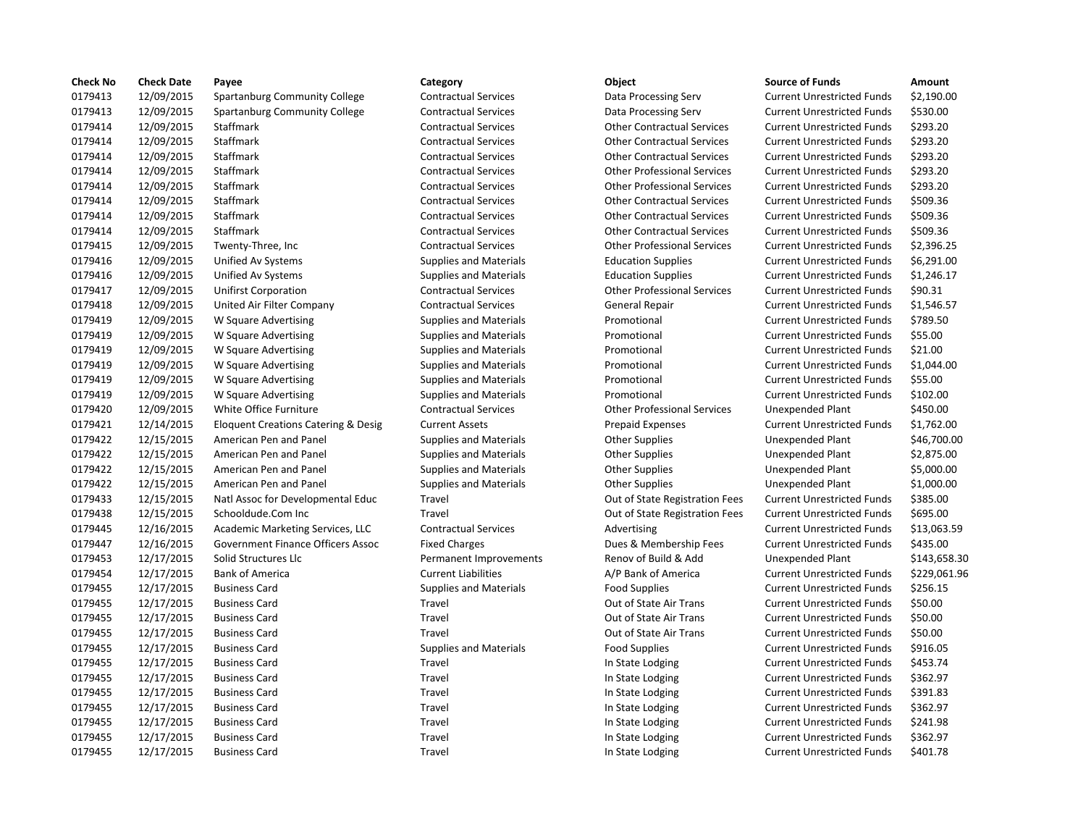| <b>Check No</b> | <b>Check Date</b> | Payee                               | Category                      | Object                             | <b>Source of Funds</b>            | Amount    |
|-----------------|-------------------|-------------------------------------|-------------------------------|------------------------------------|-----------------------------------|-----------|
| 0179413         | 12/09/2015        | Spartanburg Community College       | <b>Contractual Services</b>   | Data Processing Serv               | <b>Current Unrestricted Funds</b> | \$2,190.0 |
| 0179413         | 12/09/2015        | Spartanburg Community College       | <b>Contractual Services</b>   | Data Processing Serv               | <b>Current Unrestricted Funds</b> | \$530.00  |
| 0179414         | 12/09/2015        | Staffmark                           | <b>Contractual Services</b>   | <b>Other Contractual Services</b>  | <b>Current Unrestricted Funds</b> | \$293.20  |
| 0179414         | 12/09/2015        | Staffmark                           | <b>Contractual Services</b>   | <b>Other Contractual Services</b>  | <b>Current Unrestricted Funds</b> | \$293.20  |
| 0179414         | 12/09/2015        | Staffmark                           | <b>Contractual Services</b>   | <b>Other Contractual Services</b>  | <b>Current Unrestricted Funds</b> | \$293.20  |
| 0179414         | 12/09/2015        | Staffmark                           | <b>Contractual Services</b>   | <b>Other Professional Services</b> | <b>Current Unrestricted Funds</b> | \$293.20  |
| 0179414         | 12/09/2015        | Staffmark                           | <b>Contractual Services</b>   | <b>Other Professional Services</b> | <b>Current Unrestricted Funds</b> | \$293.20  |
| 0179414         | 12/09/2015        | Staffmark                           | <b>Contractual Services</b>   | <b>Other Contractual Services</b>  | <b>Current Unrestricted Funds</b> | \$509.36  |
| 0179414         | 12/09/2015        | Staffmark                           | <b>Contractual Services</b>   | <b>Other Contractual Services</b>  | <b>Current Unrestricted Funds</b> | \$509.36  |
| 0179414         | 12/09/2015        | Staffmark                           | <b>Contractual Services</b>   | <b>Other Contractual Services</b>  | <b>Current Unrestricted Funds</b> | \$509.36  |
| 0179415         | 12/09/2015        | Twenty-Three, Inc                   | <b>Contractual Services</b>   | <b>Other Professional Services</b> | <b>Current Unrestricted Funds</b> | \$2,396.2 |
| 0179416         | 12/09/2015        | Unified Av Systems                  | <b>Supplies and Materials</b> | <b>Education Supplies</b>          | <b>Current Unrestricted Funds</b> | \$6,291.0 |
| 0179416         | 12/09/2015        | <b>Unified Av Systems</b>           | <b>Supplies and Materials</b> | <b>Education Supplies</b>          | <b>Current Unrestricted Funds</b> | \$1,246.1 |
| 0179417         | 12/09/2015        | <b>Unifirst Corporation</b>         | <b>Contractual Services</b>   | <b>Other Professional Services</b> | <b>Current Unrestricted Funds</b> | \$90.31   |
| 0179418         | 12/09/2015        | United Air Filter Company           | <b>Contractual Services</b>   | <b>General Repair</b>              | <b>Current Unrestricted Funds</b> | \$1,546.5 |
| 0179419         | 12/09/2015        | W Square Advertising                | <b>Supplies and Materials</b> | Promotional                        | <b>Current Unrestricted Funds</b> | \$789.50  |
| 0179419         | 12/09/2015        | W Square Advertising                | <b>Supplies and Materials</b> | Promotional                        | <b>Current Unrestricted Funds</b> | \$55.00   |
| 0179419         | 12/09/2015        | W Square Advertising                | <b>Supplies and Materials</b> | Promotional                        | <b>Current Unrestricted Funds</b> | \$21.00   |
| 0179419         | 12/09/2015        | W Square Advertising                | <b>Supplies and Materials</b> | Promotional                        | <b>Current Unrestricted Funds</b> | \$1,044.0 |
| 0179419         | 12/09/2015        | W Square Advertising                | <b>Supplies and Materials</b> | Promotional                        | <b>Current Unrestricted Funds</b> | \$55.00   |
| 0179419         | 12/09/2015        | W Square Advertising                | <b>Supplies and Materials</b> | Promotional                        | <b>Current Unrestricted Funds</b> | \$102.00  |
| 0179420         | 12/09/2015        | White Office Furniture              | <b>Contractual Services</b>   | <b>Other Professional Services</b> | Unexpended Plant                  | \$450.00  |
| 0179421         | 12/14/2015        | Eloquent Creations Catering & Desig | <b>Current Assets</b>         | <b>Prepaid Expenses</b>            | <b>Current Unrestricted Funds</b> | \$1,762.0 |
| 0179422         | 12/15/2015        | American Pen and Panel              | <b>Supplies and Materials</b> | <b>Other Supplies</b>              | <b>Unexpended Plant</b>           | \$46,700  |
| 0179422         | 12/15/2015        | American Pen and Panel              | <b>Supplies and Materials</b> | <b>Other Supplies</b>              | <b>Unexpended Plant</b>           | \$2,875.0 |
| 0179422         | 12/15/2015        | American Pen and Panel              | <b>Supplies and Materials</b> | <b>Other Supplies</b>              | <b>Unexpended Plant</b>           | \$5,000.0 |
| 0179422         | 12/15/2015        | American Pen and Panel              | <b>Supplies and Materials</b> | <b>Other Supplies</b>              | Unexpended Plant                  | \$1,000.0 |
| 0179433         | 12/15/2015        | Natl Assoc for Developmental Educ   | Travel                        | Out of State Registration Fees     | <b>Current Unrestricted Funds</b> | \$385.00  |
| 0179438         | 12/15/2015        | Schooldude.Com Inc                  | Travel                        | Out of State Registration Fees     | <b>Current Unrestricted Funds</b> | \$695.00  |
| 0179445         | 12/16/2015        | Academic Marketing Services, LLC    | <b>Contractual Services</b>   | Advertising                        | <b>Current Unrestricted Funds</b> | \$13,063  |
| 0179447         | 12/16/2015        | Government Finance Officers Assoc   | <b>Fixed Charges</b>          | Dues & Membership Fees             | <b>Current Unrestricted Funds</b> | \$435.00  |
| 0179453         | 12/17/2015        | Solid Structures Llc                | Permanent Improvements        | Renov of Build & Add               | <b>Unexpended Plant</b>           | \$143,65  |
| 0179454         | 12/17/2015        | <b>Bank of America</b>              | <b>Current Liabilities</b>    | A/P Bank of America                | <b>Current Unrestricted Funds</b> | \$229,06  |
| 0179455         | 12/17/2015        | <b>Business Card</b>                | Supplies and Materials        | <b>Food Supplies</b>               | <b>Current Unrestricted Funds</b> | \$256.15  |
| 0179455         | 12/17/2015        | <b>Business Card</b>                | Travel                        | Out of State Air Trans             | <b>Current Unrestricted Funds</b> | \$50.00   |
| 0179455         | 12/17/2015        | <b>Business Card</b>                | Travel                        | Out of State Air Trans             | <b>Current Unrestricted Funds</b> | \$50.00   |
| 0179455         | 12/17/2015        | <b>Business Card</b>                | Travel                        | Out of State Air Trans             | <b>Current Unrestricted Funds</b> | \$50.00   |
| 0179455         | 12/17/2015        | <b>Business Card</b>                | <b>Supplies and Materials</b> | <b>Food Supplies</b>               | <b>Current Unrestricted Funds</b> | \$916.05  |
| 0179455         | 12/17/2015        | <b>Business Card</b>                | Travel                        | In State Lodging                   | <b>Current Unrestricted Funds</b> | \$453.74  |
| 0179455         | 12/17/2015        | <b>Business Card</b>                | Travel                        | In State Lodging                   | <b>Current Unrestricted Funds</b> | \$362.97  |
| 0179455         | 12/17/2015        | <b>Business Card</b>                | Travel                        | In State Lodging                   | <b>Current Unrestricted Funds</b> | \$391.83  |
| 0179455         | 12/17/2015        | <b>Business Card</b>                | Travel                        | In State Lodging                   | <b>Current Unrestricted Funds</b> | \$362.97  |
| 0179455         | 12/17/2015        | <b>Business Card</b>                | Travel                        | In State Lodging                   | <b>Current Unrestricted Funds</b> | \$241.98  |
| 0179455         | 12/17/2015        | <b>Business Card</b>                | Travel                        | In State Lodging                   | <b>Current Unrestricted Funds</b> | \$362.97  |
| 0179455         | 12/17/2015        | <b>Business Card</b>                | Travel                        | In State Lodging                   | <b>Current Unrestricted Funds</b> | \$401.78  |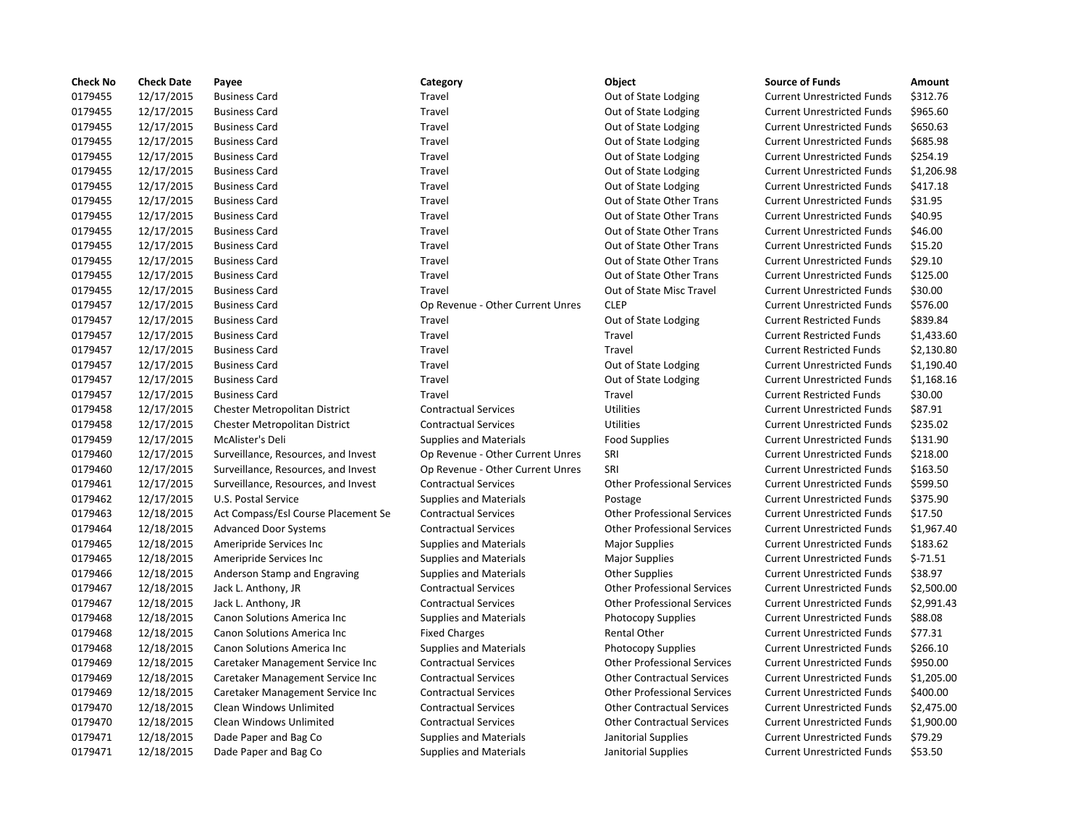| 0179455<br>12/17/2015<br>Travel<br>Out of State Lodging<br>\$312.76<br><b>Business Card</b><br><b>Current Unrestricted Funds</b><br>0179455<br>12/17/2015<br>Travel<br>\$965.60<br><b>Business Card</b><br>Out of State Lodging<br><b>Current Unrestricted Funds</b><br>0179455<br>12/17/2015<br><b>Business Card</b><br>Travel<br>Out of State Lodging<br><b>Current Unrestricted Funds</b><br>\$650.63<br>12/17/2015<br>\$685.98<br>0179455<br><b>Business Card</b><br>Travel<br>Out of State Lodging<br><b>Current Unrestricted Funds</b><br>0179455<br>12/17/2015<br>\$254.19<br><b>Business Card</b><br>Travel<br>Out of State Lodging<br><b>Current Unrestricted Funds</b><br>0179455<br>12/17/2015<br>Travel<br>Out of State Lodging<br>\$1,206.98<br><b>Business Card</b><br><b>Current Unrestricted Funds</b><br>0179455<br>12/17/2015<br>\$417.18<br><b>Business Card</b><br>Travel<br>Out of State Lodging<br><b>Current Unrestricted Funds</b><br>0179455<br>12/17/2015<br>Out of State Other Trans<br>\$31.95<br><b>Business Card</b><br>Travel<br><b>Current Unrestricted Funds</b><br>0179455<br>12/17/2015<br>Out of State Other Trans<br>\$40.95<br><b>Business Card</b><br>Travel<br><b>Current Unrestricted Funds</b><br>0179455<br>12/17/2015<br>Out of State Other Trans<br>\$46.00<br><b>Business Card</b><br>Travel<br><b>Current Unrestricted Funds</b><br>0179455<br>\$15.20<br>12/17/2015<br><b>Business Card</b><br>Travel<br>Out of State Other Trans<br><b>Current Unrestricted Funds</b><br>\$29.10<br>0179455<br>12/17/2015<br><b>Business Card</b><br>Travel<br>Out of State Other Trans<br><b>Current Unrestricted Funds</b><br>0179455<br>12/17/2015<br>Travel<br>Out of State Other Trans<br><b>Current Unrestricted Funds</b><br>\$125.00<br><b>Business Card</b><br>0179455<br>12/17/2015<br>Travel<br>Out of State Misc Travel<br><b>Current Unrestricted Funds</b><br>\$30.00<br><b>Business Card</b><br><b>CLEP</b><br>0179457<br>12/17/2015<br>\$576.00<br><b>Business Card</b><br>Op Revenue - Other Current Unres<br><b>Current Unrestricted Funds</b><br>0179457<br>12/17/2015<br>Out of State Lodging<br>\$839.84<br><b>Business Card</b><br>Travel<br><b>Current Restricted Funds</b><br>0179457<br>12/17/2015<br>Travel<br>\$1,433.60<br><b>Business Card</b><br>Travel<br><b>Current Restricted Funds</b><br>0179457<br>12/17/2015<br>Travel<br>\$2,130.80<br><b>Business Card</b><br>Travel<br><b>Current Restricted Funds</b><br>\$1,190.40<br>0179457<br>12/17/2015<br><b>Business Card</b><br>Travel<br>Out of State Lodging<br><b>Current Unrestricted Funds</b><br>0179457<br>12/17/2015<br><b>Business Card</b><br>Travel<br>Out of State Lodging<br><b>Current Unrestricted Funds</b><br>\$1,168.16<br>\$30.00<br>0179457<br>12/17/2015<br><b>Business Card</b><br>Travel<br>Travel<br><b>Current Restricted Funds</b><br>0179458<br><b>Utilities</b><br>\$87.91<br>12/17/2015<br>Chester Metropolitan District<br><b>Contractual Services</b><br><b>Current Unrestricted Funds</b><br>0179458<br>12/17/2015<br><b>Contractual Services</b><br><b>Utilities</b><br><b>Current Unrestricted Funds</b><br>\$235.02<br>Chester Metropolitan District<br>0179459<br>12/17/2015<br>\$131.90<br>McAlister's Deli<br><b>Supplies and Materials</b><br>Food Supplies<br><b>Current Unrestricted Funds</b><br>0179460<br>12/17/2015<br>SRI<br>\$218.00<br>Surveillance, Resources, and Invest<br>Op Revenue - Other Current Unres<br><b>Current Unrestricted Funds</b><br>12/17/2015<br>SRI<br>\$163.50<br>0179460<br>Surveillance, Resources, and Invest<br>Op Revenue - Other Current Unres<br><b>Current Unrestricted Funds</b><br>12/17/2015<br>\$599.50<br>0179461<br>Surveillance, Resources, and Invest<br><b>Contractual Services</b><br><b>Other Professional Services</b><br><b>Current Unrestricted Funds</b><br>12/17/2015<br>\$375.90<br>0179462<br>U.S. Postal Service<br><b>Supplies and Materials</b><br><b>Current Unrestricted Funds</b><br>Postage<br>0179463<br>12/18/2015<br>Act Compass/Esl Course Placement Se<br><b>Contractual Services</b><br><b>Other Professional Services</b><br><b>Current Unrestricted Funds</b><br>\$17.50<br>0179464<br>12/18/2015<br><b>Contractual Services</b><br><b>Other Professional Services</b><br>\$1,967.40<br><b>Advanced Door Systems</b><br><b>Current Unrestricted Funds</b><br>0179465<br>12/18/2015<br>\$183.62<br>Ameripride Services Inc<br><b>Supplies and Materials</b><br><b>Major Supplies</b><br><b>Current Unrestricted Funds</b><br>0179465<br>12/18/2015<br>$$-71.51$<br>Ameripride Services Inc<br><b>Supplies and Materials</b><br><b>Major Supplies</b><br><b>Current Unrestricted Funds</b><br>0179466<br>12/18/2015<br>\$38.97<br>Anderson Stamp and Engraving<br><b>Supplies and Materials</b><br><b>Other Supplies</b><br><b>Current Unrestricted Funds</b><br>0179467<br>12/18/2015<br>Jack L. Anthony, JR<br><b>Contractual Services</b><br><b>Other Professional Services</b><br><b>Current Unrestricted Funds</b><br>\$2,500.00<br>\$2,991.43<br>0179467<br>12/18/2015<br><b>Contractual Services</b><br><b>Other Professional Services</b><br><b>Current Unrestricted Funds</b><br>Jack L. Anthony, JR<br>\$88.08<br>0179468<br>12/18/2015<br><b>Supplies and Materials</b><br><b>Photocopy Supplies</b><br><b>Current Unrestricted Funds</b><br>Canon Solutions America Inc<br>\$77.31<br>0179468<br>12/18/2015<br>Canon Solutions America Inc<br><b>Fixed Charges</b><br>Rental Other<br><b>Current Unrestricted Funds</b><br>0179468<br>12/18/2015<br>\$266.10<br>Canon Solutions America Inc<br><b>Supplies and Materials</b><br><b>Photocopy Supplies</b><br><b>Current Unrestricted Funds</b><br>0179469<br>12/18/2015<br><b>Other Professional Services</b><br>\$950.00<br>Caretaker Management Service Inc<br><b>Contractual Services</b><br><b>Current Unrestricted Funds</b><br>12/18/2015<br>\$1,205.00<br>0179469<br>Caretaker Management Service Inc<br><b>Contractual Services</b><br><b>Other Contractual Services</b><br><b>Current Unrestricted Funds</b><br>0179469<br>\$400.00<br>12/18/2015<br>Caretaker Management Service Inc<br><b>Contractual Services</b><br><b>Other Professional Services</b><br><b>Current Unrestricted Funds</b><br>0179470<br>12/18/2015<br>Clean Windows Unlimited<br><b>Contractual Services</b><br><b>Other Contractual Services</b><br><b>Current Unrestricted Funds</b><br>\$2,475.00<br>0179470<br>12/18/2015<br>\$1,900.00<br>Clean Windows Unlimited<br><b>Contractual Services</b><br><b>Other Contractual Services</b><br><b>Current Unrestricted Funds</b> | <b>Check No</b> | <b>Check Date</b> | Payee | Category | Object | <b>Source of Funds</b> | Amount |
|-----------------------------------------------------------------------------------------------------------------------------------------------------------------------------------------------------------------------------------------------------------------------------------------------------------------------------------------------------------------------------------------------------------------------------------------------------------------------------------------------------------------------------------------------------------------------------------------------------------------------------------------------------------------------------------------------------------------------------------------------------------------------------------------------------------------------------------------------------------------------------------------------------------------------------------------------------------------------------------------------------------------------------------------------------------------------------------------------------------------------------------------------------------------------------------------------------------------------------------------------------------------------------------------------------------------------------------------------------------------------------------------------------------------------------------------------------------------------------------------------------------------------------------------------------------------------------------------------------------------------------------------------------------------------------------------------------------------------------------------------------------------------------------------------------------------------------------------------------------------------------------------------------------------------------------------------------------------------------------------------------------------------------------------------------------------------------------------------------------------------------------------------------------------------------------------------------------------------------------------------------------------------------------------------------------------------------------------------------------------------------------------------------------------------------------------------------------------------------------------------------------------------------------------------------------------------------------------------------------------------------------------------------------------------------------------------------------------------------------------------------------------------------------------------------------------------------------------------------------------------------------------------------------------------------------------------------------------------------------------------------------------------------------------------------------------------------------------------------------------------------------------------------------------------------------------------------------------------------------------------------------------------------------------------------------------------------------------------------------------------------------------------------------------------------------------------------------------------------------------------------------------------------------------------------------------------------------------------------------------------------------------------------------------------------------------------------------------------------------------------------------------------------------------------------------------------------------------------------------------------------------------------------------------------------------------------------------------------------------------------------------------------------------------------------------------------------------------------------------------------------------------------------------------------------------------------------------------------------------------------------------------------------------------------------------------------------------------------------------------------------------------------------------------------------------------------------------------------------------------------------------------------------------------------------------------------------------------------------------------------------------------------------------------------------------------------------------------------------------------------------------------------------------------------------------------------------------------------------------------------------------------------------------------------------------------------------------------------------------------------------------------------------------------------------------------------------------------------------------------------------------------------------------------------------------------------------------------------------------------------------------------------------------------------------------------------------------------------------------------------------------------------------------------------------------------------------------------------------------------------------------------------------------------------------------------------------------------------------------------------------------------------------------------------------------------------------------------------------------------------------------------------------------------------------------------------------------------------------------------------------------------------------------------------------------------------------------------------------------------------------------------------------------------------------------------------------------------------------------------------------------------------------------------------------------------------------------------------------------------------------------------------------------------------------------------------------------------------------------------------------------------------------------------------------------------------------------------------------------------------------------------------------------------------------------------------------------------------------------------------------------------------------------|-----------------|-------------------|-------|----------|--------|------------------------|--------|
|                                                                                                                                                                                                                                                                                                                                                                                                                                                                                                                                                                                                                                                                                                                                                                                                                                                                                                                                                                                                                                                                                                                                                                                                                                                                                                                                                                                                                                                                                                                                                                                                                                                                                                                                                                                                                                                                                                                                                                                                                                                                                                                                                                                                                                                                                                                                                                                                                                                                                                                                                                                                                                                                                                                                                                                                                                                                                                                                                                                                                                                                                                                                                                                                                                                                                                                                                                                                                                                                                                                                                                                                                                                                                                                                                                                                                                                                                                                                                                                                                                                                                                                                                                                                                                                                                                                                                                                                                                                                                                                                                                                                                                                                                                                                                                                                                                                                                                                                                                                                                                                                                                                                                                                                                                                                                                                                                                                                                                                                                                                                                                                                                                                                                                                                                                                                                                                                                                                                                                                                                                                                                                                                                                                                                                                                                                                                                                                                                                                                                                                                                                                                                                                           |                 |                   |       |          |        |                        |        |
|                                                                                                                                                                                                                                                                                                                                                                                                                                                                                                                                                                                                                                                                                                                                                                                                                                                                                                                                                                                                                                                                                                                                                                                                                                                                                                                                                                                                                                                                                                                                                                                                                                                                                                                                                                                                                                                                                                                                                                                                                                                                                                                                                                                                                                                                                                                                                                                                                                                                                                                                                                                                                                                                                                                                                                                                                                                                                                                                                                                                                                                                                                                                                                                                                                                                                                                                                                                                                                                                                                                                                                                                                                                                                                                                                                                                                                                                                                                                                                                                                                                                                                                                                                                                                                                                                                                                                                                                                                                                                                                                                                                                                                                                                                                                                                                                                                                                                                                                                                                                                                                                                                                                                                                                                                                                                                                                                                                                                                                                                                                                                                                                                                                                                                                                                                                                                                                                                                                                                                                                                                                                                                                                                                                                                                                                                                                                                                                                                                                                                                                                                                                                                                                           |                 |                   |       |          |        |                        |        |
|                                                                                                                                                                                                                                                                                                                                                                                                                                                                                                                                                                                                                                                                                                                                                                                                                                                                                                                                                                                                                                                                                                                                                                                                                                                                                                                                                                                                                                                                                                                                                                                                                                                                                                                                                                                                                                                                                                                                                                                                                                                                                                                                                                                                                                                                                                                                                                                                                                                                                                                                                                                                                                                                                                                                                                                                                                                                                                                                                                                                                                                                                                                                                                                                                                                                                                                                                                                                                                                                                                                                                                                                                                                                                                                                                                                                                                                                                                                                                                                                                                                                                                                                                                                                                                                                                                                                                                                                                                                                                                                                                                                                                                                                                                                                                                                                                                                                                                                                                                                                                                                                                                                                                                                                                                                                                                                                                                                                                                                                                                                                                                                                                                                                                                                                                                                                                                                                                                                                                                                                                                                                                                                                                                                                                                                                                                                                                                                                                                                                                                                                                                                                                                                           |                 |                   |       |          |        |                        |        |
|                                                                                                                                                                                                                                                                                                                                                                                                                                                                                                                                                                                                                                                                                                                                                                                                                                                                                                                                                                                                                                                                                                                                                                                                                                                                                                                                                                                                                                                                                                                                                                                                                                                                                                                                                                                                                                                                                                                                                                                                                                                                                                                                                                                                                                                                                                                                                                                                                                                                                                                                                                                                                                                                                                                                                                                                                                                                                                                                                                                                                                                                                                                                                                                                                                                                                                                                                                                                                                                                                                                                                                                                                                                                                                                                                                                                                                                                                                                                                                                                                                                                                                                                                                                                                                                                                                                                                                                                                                                                                                                                                                                                                                                                                                                                                                                                                                                                                                                                                                                                                                                                                                                                                                                                                                                                                                                                                                                                                                                                                                                                                                                                                                                                                                                                                                                                                                                                                                                                                                                                                                                                                                                                                                                                                                                                                                                                                                                                                                                                                                                                                                                                                                                           |                 |                   |       |          |        |                        |        |
|                                                                                                                                                                                                                                                                                                                                                                                                                                                                                                                                                                                                                                                                                                                                                                                                                                                                                                                                                                                                                                                                                                                                                                                                                                                                                                                                                                                                                                                                                                                                                                                                                                                                                                                                                                                                                                                                                                                                                                                                                                                                                                                                                                                                                                                                                                                                                                                                                                                                                                                                                                                                                                                                                                                                                                                                                                                                                                                                                                                                                                                                                                                                                                                                                                                                                                                                                                                                                                                                                                                                                                                                                                                                                                                                                                                                                                                                                                                                                                                                                                                                                                                                                                                                                                                                                                                                                                                                                                                                                                                                                                                                                                                                                                                                                                                                                                                                                                                                                                                                                                                                                                                                                                                                                                                                                                                                                                                                                                                                                                                                                                                                                                                                                                                                                                                                                                                                                                                                                                                                                                                                                                                                                                                                                                                                                                                                                                                                                                                                                                                                                                                                                                                           |                 |                   |       |          |        |                        |        |
|                                                                                                                                                                                                                                                                                                                                                                                                                                                                                                                                                                                                                                                                                                                                                                                                                                                                                                                                                                                                                                                                                                                                                                                                                                                                                                                                                                                                                                                                                                                                                                                                                                                                                                                                                                                                                                                                                                                                                                                                                                                                                                                                                                                                                                                                                                                                                                                                                                                                                                                                                                                                                                                                                                                                                                                                                                                                                                                                                                                                                                                                                                                                                                                                                                                                                                                                                                                                                                                                                                                                                                                                                                                                                                                                                                                                                                                                                                                                                                                                                                                                                                                                                                                                                                                                                                                                                                                                                                                                                                                                                                                                                                                                                                                                                                                                                                                                                                                                                                                                                                                                                                                                                                                                                                                                                                                                                                                                                                                                                                                                                                                                                                                                                                                                                                                                                                                                                                                                                                                                                                                                                                                                                                                                                                                                                                                                                                                                                                                                                                                                                                                                                                                           |                 |                   |       |          |        |                        |        |
|                                                                                                                                                                                                                                                                                                                                                                                                                                                                                                                                                                                                                                                                                                                                                                                                                                                                                                                                                                                                                                                                                                                                                                                                                                                                                                                                                                                                                                                                                                                                                                                                                                                                                                                                                                                                                                                                                                                                                                                                                                                                                                                                                                                                                                                                                                                                                                                                                                                                                                                                                                                                                                                                                                                                                                                                                                                                                                                                                                                                                                                                                                                                                                                                                                                                                                                                                                                                                                                                                                                                                                                                                                                                                                                                                                                                                                                                                                                                                                                                                                                                                                                                                                                                                                                                                                                                                                                                                                                                                                                                                                                                                                                                                                                                                                                                                                                                                                                                                                                                                                                                                                                                                                                                                                                                                                                                                                                                                                                                                                                                                                                                                                                                                                                                                                                                                                                                                                                                                                                                                                                                                                                                                                                                                                                                                                                                                                                                                                                                                                                                                                                                                                                           |                 |                   |       |          |        |                        |        |
|                                                                                                                                                                                                                                                                                                                                                                                                                                                                                                                                                                                                                                                                                                                                                                                                                                                                                                                                                                                                                                                                                                                                                                                                                                                                                                                                                                                                                                                                                                                                                                                                                                                                                                                                                                                                                                                                                                                                                                                                                                                                                                                                                                                                                                                                                                                                                                                                                                                                                                                                                                                                                                                                                                                                                                                                                                                                                                                                                                                                                                                                                                                                                                                                                                                                                                                                                                                                                                                                                                                                                                                                                                                                                                                                                                                                                                                                                                                                                                                                                                                                                                                                                                                                                                                                                                                                                                                                                                                                                                                                                                                                                                                                                                                                                                                                                                                                                                                                                                                                                                                                                                                                                                                                                                                                                                                                                                                                                                                                                                                                                                                                                                                                                                                                                                                                                                                                                                                                                                                                                                                                                                                                                                                                                                                                                                                                                                                                                                                                                                                                                                                                                                                           |                 |                   |       |          |        |                        |        |
|                                                                                                                                                                                                                                                                                                                                                                                                                                                                                                                                                                                                                                                                                                                                                                                                                                                                                                                                                                                                                                                                                                                                                                                                                                                                                                                                                                                                                                                                                                                                                                                                                                                                                                                                                                                                                                                                                                                                                                                                                                                                                                                                                                                                                                                                                                                                                                                                                                                                                                                                                                                                                                                                                                                                                                                                                                                                                                                                                                                                                                                                                                                                                                                                                                                                                                                                                                                                                                                                                                                                                                                                                                                                                                                                                                                                                                                                                                                                                                                                                                                                                                                                                                                                                                                                                                                                                                                                                                                                                                                                                                                                                                                                                                                                                                                                                                                                                                                                                                                                                                                                                                                                                                                                                                                                                                                                                                                                                                                                                                                                                                                                                                                                                                                                                                                                                                                                                                                                                                                                                                                                                                                                                                                                                                                                                                                                                                                                                                                                                                                                                                                                                                                           |                 |                   |       |          |        |                        |        |
|                                                                                                                                                                                                                                                                                                                                                                                                                                                                                                                                                                                                                                                                                                                                                                                                                                                                                                                                                                                                                                                                                                                                                                                                                                                                                                                                                                                                                                                                                                                                                                                                                                                                                                                                                                                                                                                                                                                                                                                                                                                                                                                                                                                                                                                                                                                                                                                                                                                                                                                                                                                                                                                                                                                                                                                                                                                                                                                                                                                                                                                                                                                                                                                                                                                                                                                                                                                                                                                                                                                                                                                                                                                                                                                                                                                                                                                                                                                                                                                                                                                                                                                                                                                                                                                                                                                                                                                                                                                                                                                                                                                                                                                                                                                                                                                                                                                                                                                                                                                                                                                                                                                                                                                                                                                                                                                                                                                                                                                                                                                                                                                                                                                                                                                                                                                                                                                                                                                                                                                                                                                                                                                                                                                                                                                                                                                                                                                                                                                                                                                                                                                                                                                           |                 |                   |       |          |        |                        |        |
|                                                                                                                                                                                                                                                                                                                                                                                                                                                                                                                                                                                                                                                                                                                                                                                                                                                                                                                                                                                                                                                                                                                                                                                                                                                                                                                                                                                                                                                                                                                                                                                                                                                                                                                                                                                                                                                                                                                                                                                                                                                                                                                                                                                                                                                                                                                                                                                                                                                                                                                                                                                                                                                                                                                                                                                                                                                                                                                                                                                                                                                                                                                                                                                                                                                                                                                                                                                                                                                                                                                                                                                                                                                                                                                                                                                                                                                                                                                                                                                                                                                                                                                                                                                                                                                                                                                                                                                                                                                                                                                                                                                                                                                                                                                                                                                                                                                                                                                                                                                                                                                                                                                                                                                                                                                                                                                                                                                                                                                                                                                                                                                                                                                                                                                                                                                                                                                                                                                                                                                                                                                                                                                                                                                                                                                                                                                                                                                                                                                                                                                                                                                                                                                           |                 |                   |       |          |        |                        |        |
|                                                                                                                                                                                                                                                                                                                                                                                                                                                                                                                                                                                                                                                                                                                                                                                                                                                                                                                                                                                                                                                                                                                                                                                                                                                                                                                                                                                                                                                                                                                                                                                                                                                                                                                                                                                                                                                                                                                                                                                                                                                                                                                                                                                                                                                                                                                                                                                                                                                                                                                                                                                                                                                                                                                                                                                                                                                                                                                                                                                                                                                                                                                                                                                                                                                                                                                                                                                                                                                                                                                                                                                                                                                                                                                                                                                                                                                                                                                                                                                                                                                                                                                                                                                                                                                                                                                                                                                                                                                                                                                                                                                                                                                                                                                                                                                                                                                                                                                                                                                                                                                                                                                                                                                                                                                                                                                                                                                                                                                                                                                                                                                                                                                                                                                                                                                                                                                                                                                                                                                                                                                                                                                                                                                                                                                                                                                                                                                                                                                                                                                                                                                                                                                           |                 |                   |       |          |        |                        |        |
|                                                                                                                                                                                                                                                                                                                                                                                                                                                                                                                                                                                                                                                                                                                                                                                                                                                                                                                                                                                                                                                                                                                                                                                                                                                                                                                                                                                                                                                                                                                                                                                                                                                                                                                                                                                                                                                                                                                                                                                                                                                                                                                                                                                                                                                                                                                                                                                                                                                                                                                                                                                                                                                                                                                                                                                                                                                                                                                                                                                                                                                                                                                                                                                                                                                                                                                                                                                                                                                                                                                                                                                                                                                                                                                                                                                                                                                                                                                                                                                                                                                                                                                                                                                                                                                                                                                                                                                                                                                                                                                                                                                                                                                                                                                                                                                                                                                                                                                                                                                                                                                                                                                                                                                                                                                                                                                                                                                                                                                                                                                                                                                                                                                                                                                                                                                                                                                                                                                                                                                                                                                                                                                                                                                                                                                                                                                                                                                                                                                                                                                                                                                                                                                           |                 |                   |       |          |        |                        |        |
|                                                                                                                                                                                                                                                                                                                                                                                                                                                                                                                                                                                                                                                                                                                                                                                                                                                                                                                                                                                                                                                                                                                                                                                                                                                                                                                                                                                                                                                                                                                                                                                                                                                                                                                                                                                                                                                                                                                                                                                                                                                                                                                                                                                                                                                                                                                                                                                                                                                                                                                                                                                                                                                                                                                                                                                                                                                                                                                                                                                                                                                                                                                                                                                                                                                                                                                                                                                                                                                                                                                                                                                                                                                                                                                                                                                                                                                                                                                                                                                                                                                                                                                                                                                                                                                                                                                                                                                                                                                                                                                                                                                                                                                                                                                                                                                                                                                                                                                                                                                                                                                                                                                                                                                                                                                                                                                                                                                                                                                                                                                                                                                                                                                                                                                                                                                                                                                                                                                                                                                                                                                                                                                                                                                                                                                                                                                                                                                                                                                                                                                                                                                                                                                           |                 |                   |       |          |        |                        |        |
|                                                                                                                                                                                                                                                                                                                                                                                                                                                                                                                                                                                                                                                                                                                                                                                                                                                                                                                                                                                                                                                                                                                                                                                                                                                                                                                                                                                                                                                                                                                                                                                                                                                                                                                                                                                                                                                                                                                                                                                                                                                                                                                                                                                                                                                                                                                                                                                                                                                                                                                                                                                                                                                                                                                                                                                                                                                                                                                                                                                                                                                                                                                                                                                                                                                                                                                                                                                                                                                                                                                                                                                                                                                                                                                                                                                                                                                                                                                                                                                                                                                                                                                                                                                                                                                                                                                                                                                                                                                                                                                                                                                                                                                                                                                                                                                                                                                                                                                                                                                                                                                                                                                                                                                                                                                                                                                                                                                                                                                                                                                                                                                                                                                                                                                                                                                                                                                                                                                                                                                                                                                                                                                                                                                                                                                                                                                                                                                                                                                                                                                                                                                                                                                           |                 |                   |       |          |        |                        |        |
|                                                                                                                                                                                                                                                                                                                                                                                                                                                                                                                                                                                                                                                                                                                                                                                                                                                                                                                                                                                                                                                                                                                                                                                                                                                                                                                                                                                                                                                                                                                                                                                                                                                                                                                                                                                                                                                                                                                                                                                                                                                                                                                                                                                                                                                                                                                                                                                                                                                                                                                                                                                                                                                                                                                                                                                                                                                                                                                                                                                                                                                                                                                                                                                                                                                                                                                                                                                                                                                                                                                                                                                                                                                                                                                                                                                                                                                                                                                                                                                                                                                                                                                                                                                                                                                                                                                                                                                                                                                                                                                                                                                                                                                                                                                                                                                                                                                                                                                                                                                                                                                                                                                                                                                                                                                                                                                                                                                                                                                                                                                                                                                                                                                                                                                                                                                                                                                                                                                                                                                                                                                                                                                                                                                                                                                                                                                                                                                                                                                                                                                                                                                                                                                           |                 |                   |       |          |        |                        |        |
|                                                                                                                                                                                                                                                                                                                                                                                                                                                                                                                                                                                                                                                                                                                                                                                                                                                                                                                                                                                                                                                                                                                                                                                                                                                                                                                                                                                                                                                                                                                                                                                                                                                                                                                                                                                                                                                                                                                                                                                                                                                                                                                                                                                                                                                                                                                                                                                                                                                                                                                                                                                                                                                                                                                                                                                                                                                                                                                                                                                                                                                                                                                                                                                                                                                                                                                                                                                                                                                                                                                                                                                                                                                                                                                                                                                                                                                                                                                                                                                                                                                                                                                                                                                                                                                                                                                                                                                                                                                                                                                                                                                                                                                                                                                                                                                                                                                                                                                                                                                                                                                                                                                                                                                                                                                                                                                                                                                                                                                                                                                                                                                                                                                                                                                                                                                                                                                                                                                                                                                                                                                                                                                                                                                                                                                                                                                                                                                                                                                                                                                                                                                                                                                           |                 |                   |       |          |        |                        |        |
|                                                                                                                                                                                                                                                                                                                                                                                                                                                                                                                                                                                                                                                                                                                                                                                                                                                                                                                                                                                                                                                                                                                                                                                                                                                                                                                                                                                                                                                                                                                                                                                                                                                                                                                                                                                                                                                                                                                                                                                                                                                                                                                                                                                                                                                                                                                                                                                                                                                                                                                                                                                                                                                                                                                                                                                                                                                                                                                                                                                                                                                                                                                                                                                                                                                                                                                                                                                                                                                                                                                                                                                                                                                                                                                                                                                                                                                                                                                                                                                                                                                                                                                                                                                                                                                                                                                                                                                                                                                                                                                                                                                                                                                                                                                                                                                                                                                                                                                                                                                                                                                                                                                                                                                                                                                                                                                                                                                                                                                                                                                                                                                                                                                                                                                                                                                                                                                                                                                                                                                                                                                                                                                                                                                                                                                                                                                                                                                                                                                                                                                                                                                                                                                           |                 |                   |       |          |        |                        |        |
|                                                                                                                                                                                                                                                                                                                                                                                                                                                                                                                                                                                                                                                                                                                                                                                                                                                                                                                                                                                                                                                                                                                                                                                                                                                                                                                                                                                                                                                                                                                                                                                                                                                                                                                                                                                                                                                                                                                                                                                                                                                                                                                                                                                                                                                                                                                                                                                                                                                                                                                                                                                                                                                                                                                                                                                                                                                                                                                                                                                                                                                                                                                                                                                                                                                                                                                                                                                                                                                                                                                                                                                                                                                                                                                                                                                                                                                                                                                                                                                                                                                                                                                                                                                                                                                                                                                                                                                                                                                                                                                                                                                                                                                                                                                                                                                                                                                                                                                                                                                                                                                                                                                                                                                                                                                                                                                                                                                                                                                                                                                                                                                                                                                                                                                                                                                                                                                                                                                                                                                                                                                                                                                                                                                                                                                                                                                                                                                                                                                                                                                                                                                                                                                           |                 |                   |       |          |        |                        |        |
|                                                                                                                                                                                                                                                                                                                                                                                                                                                                                                                                                                                                                                                                                                                                                                                                                                                                                                                                                                                                                                                                                                                                                                                                                                                                                                                                                                                                                                                                                                                                                                                                                                                                                                                                                                                                                                                                                                                                                                                                                                                                                                                                                                                                                                                                                                                                                                                                                                                                                                                                                                                                                                                                                                                                                                                                                                                                                                                                                                                                                                                                                                                                                                                                                                                                                                                                                                                                                                                                                                                                                                                                                                                                                                                                                                                                                                                                                                                                                                                                                                                                                                                                                                                                                                                                                                                                                                                                                                                                                                                                                                                                                                                                                                                                                                                                                                                                                                                                                                                                                                                                                                                                                                                                                                                                                                                                                                                                                                                                                                                                                                                                                                                                                                                                                                                                                                                                                                                                                                                                                                                                                                                                                                                                                                                                                                                                                                                                                                                                                                                                                                                                                                                           |                 |                   |       |          |        |                        |        |
|                                                                                                                                                                                                                                                                                                                                                                                                                                                                                                                                                                                                                                                                                                                                                                                                                                                                                                                                                                                                                                                                                                                                                                                                                                                                                                                                                                                                                                                                                                                                                                                                                                                                                                                                                                                                                                                                                                                                                                                                                                                                                                                                                                                                                                                                                                                                                                                                                                                                                                                                                                                                                                                                                                                                                                                                                                                                                                                                                                                                                                                                                                                                                                                                                                                                                                                                                                                                                                                                                                                                                                                                                                                                                                                                                                                                                                                                                                                                                                                                                                                                                                                                                                                                                                                                                                                                                                                                                                                                                                                                                                                                                                                                                                                                                                                                                                                                                                                                                                                                                                                                                                                                                                                                                                                                                                                                                                                                                                                                                                                                                                                                                                                                                                                                                                                                                                                                                                                                                                                                                                                                                                                                                                                                                                                                                                                                                                                                                                                                                                                                                                                                                                                           |                 |                   |       |          |        |                        |        |
|                                                                                                                                                                                                                                                                                                                                                                                                                                                                                                                                                                                                                                                                                                                                                                                                                                                                                                                                                                                                                                                                                                                                                                                                                                                                                                                                                                                                                                                                                                                                                                                                                                                                                                                                                                                                                                                                                                                                                                                                                                                                                                                                                                                                                                                                                                                                                                                                                                                                                                                                                                                                                                                                                                                                                                                                                                                                                                                                                                                                                                                                                                                                                                                                                                                                                                                                                                                                                                                                                                                                                                                                                                                                                                                                                                                                                                                                                                                                                                                                                                                                                                                                                                                                                                                                                                                                                                                                                                                                                                                                                                                                                                                                                                                                                                                                                                                                                                                                                                                                                                                                                                                                                                                                                                                                                                                                                                                                                                                                                                                                                                                                                                                                                                                                                                                                                                                                                                                                                                                                                                                                                                                                                                                                                                                                                                                                                                                                                                                                                                                                                                                                                                                           |                 |                   |       |          |        |                        |        |
|                                                                                                                                                                                                                                                                                                                                                                                                                                                                                                                                                                                                                                                                                                                                                                                                                                                                                                                                                                                                                                                                                                                                                                                                                                                                                                                                                                                                                                                                                                                                                                                                                                                                                                                                                                                                                                                                                                                                                                                                                                                                                                                                                                                                                                                                                                                                                                                                                                                                                                                                                                                                                                                                                                                                                                                                                                                                                                                                                                                                                                                                                                                                                                                                                                                                                                                                                                                                                                                                                                                                                                                                                                                                                                                                                                                                                                                                                                                                                                                                                                                                                                                                                                                                                                                                                                                                                                                                                                                                                                                                                                                                                                                                                                                                                                                                                                                                                                                                                                                                                                                                                                                                                                                                                                                                                                                                                                                                                                                                                                                                                                                                                                                                                                                                                                                                                                                                                                                                                                                                                                                                                                                                                                                                                                                                                                                                                                                                                                                                                                                                                                                                                                                           |                 |                   |       |          |        |                        |        |
|                                                                                                                                                                                                                                                                                                                                                                                                                                                                                                                                                                                                                                                                                                                                                                                                                                                                                                                                                                                                                                                                                                                                                                                                                                                                                                                                                                                                                                                                                                                                                                                                                                                                                                                                                                                                                                                                                                                                                                                                                                                                                                                                                                                                                                                                                                                                                                                                                                                                                                                                                                                                                                                                                                                                                                                                                                                                                                                                                                                                                                                                                                                                                                                                                                                                                                                                                                                                                                                                                                                                                                                                                                                                                                                                                                                                                                                                                                                                                                                                                                                                                                                                                                                                                                                                                                                                                                                                                                                                                                                                                                                                                                                                                                                                                                                                                                                                                                                                                                                                                                                                                                                                                                                                                                                                                                                                                                                                                                                                                                                                                                                                                                                                                                                                                                                                                                                                                                                                                                                                                                                                                                                                                                                                                                                                                                                                                                                                                                                                                                                                                                                                                                                           |                 |                   |       |          |        |                        |        |
|                                                                                                                                                                                                                                                                                                                                                                                                                                                                                                                                                                                                                                                                                                                                                                                                                                                                                                                                                                                                                                                                                                                                                                                                                                                                                                                                                                                                                                                                                                                                                                                                                                                                                                                                                                                                                                                                                                                                                                                                                                                                                                                                                                                                                                                                                                                                                                                                                                                                                                                                                                                                                                                                                                                                                                                                                                                                                                                                                                                                                                                                                                                                                                                                                                                                                                                                                                                                                                                                                                                                                                                                                                                                                                                                                                                                                                                                                                                                                                                                                                                                                                                                                                                                                                                                                                                                                                                                                                                                                                                                                                                                                                                                                                                                                                                                                                                                                                                                                                                                                                                                                                                                                                                                                                                                                                                                                                                                                                                                                                                                                                                                                                                                                                                                                                                                                                                                                                                                                                                                                                                                                                                                                                                                                                                                                                                                                                                                                                                                                                                                                                                                                                                           |                 |                   |       |          |        |                        |        |
|                                                                                                                                                                                                                                                                                                                                                                                                                                                                                                                                                                                                                                                                                                                                                                                                                                                                                                                                                                                                                                                                                                                                                                                                                                                                                                                                                                                                                                                                                                                                                                                                                                                                                                                                                                                                                                                                                                                                                                                                                                                                                                                                                                                                                                                                                                                                                                                                                                                                                                                                                                                                                                                                                                                                                                                                                                                                                                                                                                                                                                                                                                                                                                                                                                                                                                                                                                                                                                                                                                                                                                                                                                                                                                                                                                                                                                                                                                                                                                                                                                                                                                                                                                                                                                                                                                                                                                                                                                                                                                                                                                                                                                                                                                                                                                                                                                                                                                                                                                                                                                                                                                                                                                                                                                                                                                                                                                                                                                                                                                                                                                                                                                                                                                                                                                                                                                                                                                                                                                                                                                                                                                                                                                                                                                                                                                                                                                                                                                                                                                                                                                                                                                                           |                 |                   |       |          |        |                        |        |
|                                                                                                                                                                                                                                                                                                                                                                                                                                                                                                                                                                                                                                                                                                                                                                                                                                                                                                                                                                                                                                                                                                                                                                                                                                                                                                                                                                                                                                                                                                                                                                                                                                                                                                                                                                                                                                                                                                                                                                                                                                                                                                                                                                                                                                                                                                                                                                                                                                                                                                                                                                                                                                                                                                                                                                                                                                                                                                                                                                                                                                                                                                                                                                                                                                                                                                                                                                                                                                                                                                                                                                                                                                                                                                                                                                                                                                                                                                                                                                                                                                                                                                                                                                                                                                                                                                                                                                                                                                                                                                                                                                                                                                                                                                                                                                                                                                                                                                                                                                                                                                                                                                                                                                                                                                                                                                                                                                                                                                                                                                                                                                                                                                                                                                                                                                                                                                                                                                                                                                                                                                                                                                                                                                                                                                                                                                                                                                                                                                                                                                                                                                                                                                                           |                 |                   |       |          |        |                        |        |
|                                                                                                                                                                                                                                                                                                                                                                                                                                                                                                                                                                                                                                                                                                                                                                                                                                                                                                                                                                                                                                                                                                                                                                                                                                                                                                                                                                                                                                                                                                                                                                                                                                                                                                                                                                                                                                                                                                                                                                                                                                                                                                                                                                                                                                                                                                                                                                                                                                                                                                                                                                                                                                                                                                                                                                                                                                                                                                                                                                                                                                                                                                                                                                                                                                                                                                                                                                                                                                                                                                                                                                                                                                                                                                                                                                                                                                                                                                                                                                                                                                                                                                                                                                                                                                                                                                                                                                                                                                                                                                                                                                                                                                                                                                                                                                                                                                                                                                                                                                                                                                                                                                                                                                                                                                                                                                                                                                                                                                                                                                                                                                                                                                                                                                                                                                                                                                                                                                                                                                                                                                                                                                                                                                                                                                                                                                                                                                                                                                                                                                                                                                                                                                                           |                 |                   |       |          |        |                        |        |
|                                                                                                                                                                                                                                                                                                                                                                                                                                                                                                                                                                                                                                                                                                                                                                                                                                                                                                                                                                                                                                                                                                                                                                                                                                                                                                                                                                                                                                                                                                                                                                                                                                                                                                                                                                                                                                                                                                                                                                                                                                                                                                                                                                                                                                                                                                                                                                                                                                                                                                                                                                                                                                                                                                                                                                                                                                                                                                                                                                                                                                                                                                                                                                                                                                                                                                                                                                                                                                                                                                                                                                                                                                                                                                                                                                                                                                                                                                                                                                                                                                                                                                                                                                                                                                                                                                                                                                                                                                                                                                                                                                                                                                                                                                                                                                                                                                                                                                                                                                                                                                                                                                                                                                                                                                                                                                                                                                                                                                                                                                                                                                                                                                                                                                                                                                                                                                                                                                                                                                                                                                                                                                                                                                                                                                                                                                                                                                                                                                                                                                                                                                                                                                                           |                 |                   |       |          |        |                        |        |
|                                                                                                                                                                                                                                                                                                                                                                                                                                                                                                                                                                                                                                                                                                                                                                                                                                                                                                                                                                                                                                                                                                                                                                                                                                                                                                                                                                                                                                                                                                                                                                                                                                                                                                                                                                                                                                                                                                                                                                                                                                                                                                                                                                                                                                                                                                                                                                                                                                                                                                                                                                                                                                                                                                                                                                                                                                                                                                                                                                                                                                                                                                                                                                                                                                                                                                                                                                                                                                                                                                                                                                                                                                                                                                                                                                                                                                                                                                                                                                                                                                                                                                                                                                                                                                                                                                                                                                                                                                                                                                                                                                                                                                                                                                                                                                                                                                                                                                                                                                                                                                                                                                                                                                                                                                                                                                                                                                                                                                                                                                                                                                                                                                                                                                                                                                                                                                                                                                                                                                                                                                                                                                                                                                                                                                                                                                                                                                                                                                                                                                                                                                                                                                                           |                 |                   |       |          |        |                        |        |
|                                                                                                                                                                                                                                                                                                                                                                                                                                                                                                                                                                                                                                                                                                                                                                                                                                                                                                                                                                                                                                                                                                                                                                                                                                                                                                                                                                                                                                                                                                                                                                                                                                                                                                                                                                                                                                                                                                                                                                                                                                                                                                                                                                                                                                                                                                                                                                                                                                                                                                                                                                                                                                                                                                                                                                                                                                                                                                                                                                                                                                                                                                                                                                                                                                                                                                                                                                                                                                                                                                                                                                                                                                                                                                                                                                                                                                                                                                                                                                                                                                                                                                                                                                                                                                                                                                                                                                                                                                                                                                                                                                                                                                                                                                                                                                                                                                                                                                                                                                                                                                                                                                                                                                                                                                                                                                                                                                                                                                                                                                                                                                                                                                                                                                                                                                                                                                                                                                                                                                                                                                                                                                                                                                                                                                                                                                                                                                                                                                                                                                                                                                                                                                                           |                 |                   |       |          |        |                        |        |
|                                                                                                                                                                                                                                                                                                                                                                                                                                                                                                                                                                                                                                                                                                                                                                                                                                                                                                                                                                                                                                                                                                                                                                                                                                                                                                                                                                                                                                                                                                                                                                                                                                                                                                                                                                                                                                                                                                                                                                                                                                                                                                                                                                                                                                                                                                                                                                                                                                                                                                                                                                                                                                                                                                                                                                                                                                                                                                                                                                                                                                                                                                                                                                                                                                                                                                                                                                                                                                                                                                                                                                                                                                                                                                                                                                                                                                                                                                                                                                                                                                                                                                                                                                                                                                                                                                                                                                                                                                                                                                                                                                                                                                                                                                                                                                                                                                                                                                                                                                                                                                                                                                                                                                                                                                                                                                                                                                                                                                                                                                                                                                                                                                                                                                                                                                                                                                                                                                                                                                                                                                                                                                                                                                                                                                                                                                                                                                                                                                                                                                                                                                                                                                                           |                 |                   |       |          |        |                        |        |
|                                                                                                                                                                                                                                                                                                                                                                                                                                                                                                                                                                                                                                                                                                                                                                                                                                                                                                                                                                                                                                                                                                                                                                                                                                                                                                                                                                                                                                                                                                                                                                                                                                                                                                                                                                                                                                                                                                                                                                                                                                                                                                                                                                                                                                                                                                                                                                                                                                                                                                                                                                                                                                                                                                                                                                                                                                                                                                                                                                                                                                                                                                                                                                                                                                                                                                                                                                                                                                                                                                                                                                                                                                                                                                                                                                                                                                                                                                                                                                                                                                                                                                                                                                                                                                                                                                                                                                                                                                                                                                                                                                                                                                                                                                                                                                                                                                                                                                                                                                                                                                                                                                                                                                                                                                                                                                                                                                                                                                                                                                                                                                                                                                                                                                                                                                                                                                                                                                                                                                                                                                                                                                                                                                                                                                                                                                                                                                                                                                                                                                                                                                                                                                                           |                 |                   |       |          |        |                        |        |
|                                                                                                                                                                                                                                                                                                                                                                                                                                                                                                                                                                                                                                                                                                                                                                                                                                                                                                                                                                                                                                                                                                                                                                                                                                                                                                                                                                                                                                                                                                                                                                                                                                                                                                                                                                                                                                                                                                                                                                                                                                                                                                                                                                                                                                                                                                                                                                                                                                                                                                                                                                                                                                                                                                                                                                                                                                                                                                                                                                                                                                                                                                                                                                                                                                                                                                                                                                                                                                                                                                                                                                                                                                                                                                                                                                                                                                                                                                                                                                                                                                                                                                                                                                                                                                                                                                                                                                                                                                                                                                                                                                                                                                                                                                                                                                                                                                                                                                                                                                                                                                                                                                                                                                                                                                                                                                                                                                                                                                                                                                                                                                                                                                                                                                                                                                                                                                                                                                                                                                                                                                                                                                                                                                                                                                                                                                                                                                                                                                                                                                                                                                                                                                                           |                 |                   |       |          |        |                        |        |
|                                                                                                                                                                                                                                                                                                                                                                                                                                                                                                                                                                                                                                                                                                                                                                                                                                                                                                                                                                                                                                                                                                                                                                                                                                                                                                                                                                                                                                                                                                                                                                                                                                                                                                                                                                                                                                                                                                                                                                                                                                                                                                                                                                                                                                                                                                                                                                                                                                                                                                                                                                                                                                                                                                                                                                                                                                                                                                                                                                                                                                                                                                                                                                                                                                                                                                                                                                                                                                                                                                                                                                                                                                                                                                                                                                                                                                                                                                                                                                                                                                                                                                                                                                                                                                                                                                                                                                                                                                                                                                                                                                                                                                                                                                                                                                                                                                                                                                                                                                                                                                                                                                                                                                                                                                                                                                                                                                                                                                                                                                                                                                                                                                                                                                                                                                                                                                                                                                                                                                                                                                                                                                                                                                                                                                                                                                                                                                                                                                                                                                                                                                                                                                                           |                 |                   |       |          |        |                        |        |
|                                                                                                                                                                                                                                                                                                                                                                                                                                                                                                                                                                                                                                                                                                                                                                                                                                                                                                                                                                                                                                                                                                                                                                                                                                                                                                                                                                                                                                                                                                                                                                                                                                                                                                                                                                                                                                                                                                                                                                                                                                                                                                                                                                                                                                                                                                                                                                                                                                                                                                                                                                                                                                                                                                                                                                                                                                                                                                                                                                                                                                                                                                                                                                                                                                                                                                                                                                                                                                                                                                                                                                                                                                                                                                                                                                                                                                                                                                                                                                                                                                                                                                                                                                                                                                                                                                                                                                                                                                                                                                                                                                                                                                                                                                                                                                                                                                                                                                                                                                                                                                                                                                                                                                                                                                                                                                                                                                                                                                                                                                                                                                                                                                                                                                                                                                                                                                                                                                                                                                                                                                                                                                                                                                                                                                                                                                                                                                                                                                                                                                                                                                                                                                                           |                 |                   |       |          |        |                        |        |
|                                                                                                                                                                                                                                                                                                                                                                                                                                                                                                                                                                                                                                                                                                                                                                                                                                                                                                                                                                                                                                                                                                                                                                                                                                                                                                                                                                                                                                                                                                                                                                                                                                                                                                                                                                                                                                                                                                                                                                                                                                                                                                                                                                                                                                                                                                                                                                                                                                                                                                                                                                                                                                                                                                                                                                                                                                                                                                                                                                                                                                                                                                                                                                                                                                                                                                                                                                                                                                                                                                                                                                                                                                                                                                                                                                                                                                                                                                                                                                                                                                                                                                                                                                                                                                                                                                                                                                                                                                                                                                                                                                                                                                                                                                                                                                                                                                                                                                                                                                                                                                                                                                                                                                                                                                                                                                                                                                                                                                                                                                                                                                                                                                                                                                                                                                                                                                                                                                                                                                                                                                                                                                                                                                                                                                                                                                                                                                                                                                                                                                                                                                                                                                                           |                 |                   |       |          |        |                        |        |
|                                                                                                                                                                                                                                                                                                                                                                                                                                                                                                                                                                                                                                                                                                                                                                                                                                                                                                                                                                                                                                                                                                                                                                                                                                                                                                                                                                                                                                                                                                                                                                                                                                                                                                                                                                                                                                                                                                                                                                                                                                                                                                                                                                                                                                                                                                                                                                                                                                                                                                                                                                                                                                                                                                                                                                                                                                                                                                                                                                                                                                                                                                                                                                                                                                                                                                                                                                                                                                                                                                                                                                                                                                                                                                                                                                                                                                                                                                                                                                                                                                                                                                                                                                                                                                                                                                                                                                                                                                                                                                                                                                                                                                                                                                                                                                                                                                                                                                                                                                                                                                                                                                                                                                                                                                                                                                                                                                                                                                                                                                                                                                                                                                                                                                                                                                                                                                                                                                                                                                                                                                                                                                                                                                                                                                                                                                                                                                                                                                                                                                                                                                                                                                                           |                 |                   |       |          |        |                        |        |
|                                                                                                                                                                                                                                                                                                                                                                                                                                                                                                                                                                                                                                                                                                                                                                                                                                                                                                                                                                                                                                                                                                                                                                                                                                                                                                                                                                                                                                                                                                                                                                                                                                                                                                                                                                                                                                                                                                                                                                                                                                                                                                                                                                                                                                                                                                                                                                                                                                                                                                                                                                                                                                                                                                                                                                                                                                                                                                                                                                                                                                                                                                                                                                                                                                                                                                                                                                                                                                                                                                                                                                                                                                                                                                                                                                                                                                                                                                                                                                                                                                                                                                                                                                                                                                                                                                                                                                                                                                                                                                                                                                                                                                                                                                                                                                                                                                                                                                                                                                                                                                                                                                                                                                                                                                                                                                                                                                                                                                                                                                                                                                                                                                                                                                                                                                                                                                                                                                                                                                                                                                                                                                                                                                                                                                                                                                                                                                                                                                                                                                                                                                                                                                                           |                 |                   |       |          |        |                        |        |
|                                                                                                                                                                                                                                                                                                                                                                                                                                                                                                                                                                                                                                                                                                                                                                                                                                                                                                                                                                                                                                                                                                                                                                                                                                                                                                                                                                                                                                                                                                                                                                                                                                                                                                                                                                                                                                                                                                                                                                                                                                                                                                                                                                                                                                                                                                                                                                                                                                                                                                                                                                                                                                                                                                                                                                                                                                                                                                                                                                                                                                                                                                                                                                                                                                                                                                                                                                                                                                                                                                                                                                                                                                                                                                                                                                                                                                                                                                                                                                                                                                                                                                                                                                                                                                                                                                                                                                                                                                                                                                                                                                                                                                                                                                                                                                                                                                                                                                                                                                                                                                                                                                                                                                                                                                                                                                                                                                                                                                                                                                                                                                                                                                                                                                                                                                                                                                                                                                                                                                                                                                                                                                                                                                                                                                                                                                                                                                                                                                                                                                                                                                                                                                                           |                 |                   |       |          |        |                        |        |
|                                                                                                                                                                                                                                                                                                                                                                                                                                                                                                                                                                                                                                                                                                                                                                                                                                                                                                                                                                                                                                                                                                                                                                                                                                                                                                                                                                                                                                                                                                                                                                                                                                                                                                                                                                                                                                                                                                                                                                                                                                                                                                                                                                                                                                                                                                                                                                                                                                                                                                                                                                                                                                                                                                                                                                                                                                                                                                                                                                                                                                                                                                                                                                                                                                                                                                                                                                                                                                                                                                                                                                                                                                                                                                                                                                                                                                                                                                                                                                                                                                                                                                                                                                                                                                                                                                                                                                                                                                                                                                                                                                                                                                                                                                                                                                                                                                                                                                                                                                                                                                                                                                                                                                                                                                                                                                                                                                                                                                                                                                                                                                                                                                                                                                                                                                                                                                                                                                                                                                                                                                                                                                                                                                                                                                                                                                                                                                                                                                                                                                                                                                                                                                                           |                 |                   |       |          |        |                        |        |
|                                                                                                                                                                                                                                                                                                                                                                                                                                                                                                                                                                                                                                                                                                                                                                                                                                                                                                                                                                                                                                                                                                                                                                                                                                                                                                                                                                                                                                                                                                                                                                                                                                                                                                                                                                                                                                                                                                                                                                                                                                                                                                                                                                                                                                                                                                                                                                                                                                                                                                                                                                                                                                                                                                                                                                                                                                                                                                                                                                                                                                                                                                                                                                                                                                                                                                                                                                                                                                                                                                                                                                                                                                                                                                                                                                                                                                                                                                                                                                                                                                                                                                                                                                                                                                                                                                                                                                                                                                                                                                                                                                                                                                                                                                                                                                                                                                                                                                                                                                                                                                                                                                                                                                                                                                                                                                                                                                                                                                                                                                                                                                                                                                                                                                                                                                                                                                                                                                                                                                                                                                                                                                                                                                                                                                                                                                                                                                                                                                                                                                                                                                                                                                                           |                 |                   |       |          |        |                        |        |
|                                                                                                                                                                                                                                                                                                                                                                                                                                                                                                                                                                                                                                                                                                                                                                                                                                                                                                                                                                                                                                                                                                                                                                                                                                                                                                                                                                                                                                                                                                                                                                                                                                                                                                                                                                                                                                                                                                                                                                                                                                                                                                                                                                                                                                                                                                                                                                                                                                                                                                                                                                                                                                                                                                                                                                                                                                                                                                                                                                                                                                                                                                                                                                                                                                                                                                                                                                                                                                                                                                                                                                                                                                                                                                                                                                                                                                                                                                                                                                                                                                                                                                                                                                                                                                                                                                                                                                                                                                                                                                                                                                                                                                                                                                                                                                                                                                                                                                                                                                                                                                                                                                                                                                                                                                                                                                                                                                                                                                                                                                                                                                                                                                                                                                                                                                                                                                                                                                                                                                                                                                                                                                                                                                                                                                                                                                                                                                                                                                                                                                                                                                                                                                                           |                 |                   |       |          |        |                        |        |
| 0179471<br>\$79.29<br>12/18/2015<br>Dade Paper and Bag Co<br><b>Supplies and Materials</b><br>Janitorial Supplies<br><b>Current Unrestricted Funds</b>                                                                                                                                                                                                                                                                                                                                                                                                                                                                                                                                                                                                                                                                                                                                                                                                                                                                                                                                                                                                                                                                                                                                                                                                                                                                                                                                                                                                                                                                                                                                                                                                                                                                                                                                                                                                                                                                                                                                                                                                                                                                                                                                                                                                                                                                                                                                                                                                                                                                                                                                                                                                                                                                                                                                                                                                                                                                                                                                                                                                                                                                                                                                                                                                                                                                                                                                                                                                                                                                                                                                                                                                                                                                                                                                                                                                                                                                                                                                                                                                                                                                                                                                                                                                                                                                                                                                                                                                                                                                                                                                                                                                                                                                                                                                                                                                                                                                                                                                                                                                                                                                                                                                                                                                                                                                                                                                                                                                                                                                                                                                                                                                                                                                                                                                                                                                                                                                                                                                                                                                                                                                                                                                                                                                                                                                                                                                                                                                                                                                                                    |                 |                   |       |          |        |                        |        |
| 0179471<br>12/18/2015<br>\$53.50<br>Janitorial Supplies<br><b>Current Unrestricted Funds</b><br>Dade Paper and Bag Co<br><b>Supplies and Materials</b>                                                                                                                                                                                                                                                                                                                                                                                                                                                                                                                                                                                                                                                                                                                                                                                                                                                                                                                                                                                                                                                                                                                                                                                                                                                                                                                                                                                                                                                                                                                                                                                                                                                                                                                                                                                                                                                                                                                                                                                                                                                                                                                                                                                                                                                                                                                                                                                                                                                                                                                                                                                                                                                                                                                                                                                                                                                                                                                                                                                                                                                                                                                                                                                                                                                                                                                                                                                                                                                                                                                                                                                                                                                                                                                                                                                                                                                                                                                                                                                                                                                                                                                                                                                                                                                                                                                                                                                                                                                                                                                                                                                                                                                                                                                                                                                                                                                                                                                                                                                                                                                                                                                                                                                                                                                                                                                                                                                                                                                                                                                                                                                                                                                                                                                                                                                                                                                                                                                                                                                                                                                                                                                                                                                                                                                                                                                                                                                                                                                                                                    |                 |                   |       |          |        |                        |        |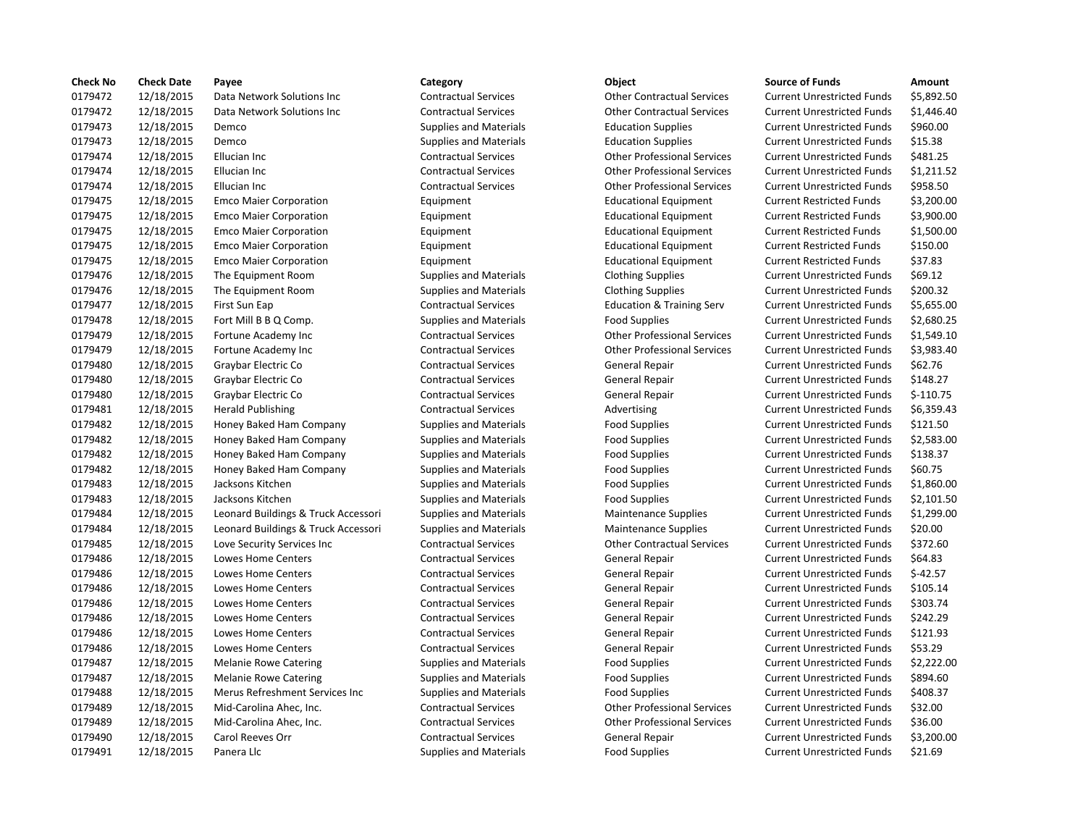| <b>Check No</b> | <b>Check Date</b> | Payee                               | Category                      | Object                               | <b>Source of Funds</b>            | Amount     |
|-----------------|-------------------|-------------------------------------|-------------------------------|--------------------------------------|-----------------------------------|------------|
| 0179472         | 12/18/2015        | Data Network Solutions Inc          | <b>Contractual Services</b>   | <b>Other Contractual Services</b>    | <b>Current Unrestricted Funds</b> | \$5,892.5  |
| 0179472         | 12/18/2015        | Data Network Solutions Inc          | <b>Contractual Services</b>   | <b>Other Contractual Services</b>    | <b>Current Unrestricted Funds</b> | \$1,446.4  |
| 0179473         | 12/18/2015        | Demco                               | <b>Supplies and Materials</b> | <b>Education Supplies</b>            | <b>Current Unrestricted Funds</b> | \$960.00   |
| 0179473         | 12/18/2015        | Demco                               | <b>Supplies and Materials</b> | <b>Education Supplies</b>            | <b>Current Unrestricted Funds</b> | \$15.38    |
| 0179474         | 12/18/2015        | Ellucian Inc                        | <b>Contractual Services</b>   | <b>Other Professional Services</b>   | <b>Current Unrestricted Funds</b> | \$481.25   |
| 0179474         | 12/18/2015        | Ellucian Inc                        | <b>Contractual Services</b>   | <b>Other Professional Services</b>   | <b>Current Unrestricted Funds</b> | \$1,211.5  |
| 0179474         | 12/18/2015        | Ellucian Inc                        | <b>Contractual Services</b>   | <b>Other Professional Services</b>   | <b>Current Unrestricted Funds</b> | \$958.50   |
| 0179475         | 12/18/2015        | <b>Emco Maier Corporation</b>       | Equipment                     | <b>Educational Equipment</b>         | <b>Current Restricted Funds</b>   | \$3,200.0  |
| 0179475         | 12/18/2015        | <b>Emco Maier Corporation</b>       | Equipment                     | <b>Educational Equipment</b>         | <b>Current Restricted Funds</b>   | \$3,900.0  |
| 0179475         | 12/18/2015        | <b>Emco Maier Corporation</b>       | Equipment                     | <b>Educational Equipment</b>         | <b>Current Restricted Funds</b>   | \$1,500.0  |
| 0179475         | 12/18/2015        | <b>Emco Maier Corporation</b>       | Equipment                     | <b>Educational Equipment</b>         | <b>Current Restricted Funds</b>   | \$150.00   |
| 0179475         | 12/18/2015        | <b>Emco Maier Corporation</b>       | Equipment                     | <b>Educational Equipment</b>         | <b>Current Restricted Funds</b>   | \$37.83    |
| 0179476         | 12/18/2015        | The Equipment Room                  | <b>Supplies and Materials</b> | <b>Clothing Supplies</b>             | <b>Current Unrestricted Funds</b> | \$69.12    |
| 0179476         | 12/18/2015        | The Equipment Room                  | <b>Supplies and Materials</b> | <b>Clothing Supplies</b>             | <b>Current Unrestricted Funds</b> | \$200.32   |
| 0179477         | 12/18/2015        | First Sun Eap                       | <b>Contractual Services</b>   | <b>Education &amp; Training Serv</b> | <b>Current Unrestricted Funds</b> | \$5,655.0  |
| 0179478         | 12/18/2015        | Fort Mill B B Q Comp.               | <b>Supplies and Materials</b> | <b>Food Supplies</b>                 | <b>Current Unrestricted Funds</b> | \$2,680.2  |
| 0179479         | 12/18/2015        | Fortune Academy Inc                 | <b>Contractual Services</b>   | <b>Other Professional Services</b>   | <b>Current Unrestricted Funds</b> | \$1,549.1  |
| 0179479         | 12/18/2015        | Fortune Academy Inc                 | <b>Contractual Services</b>   | <b>Other Professional Services</b>   | <b>Current Unrestricted Funds</b> | \$3,983.4  |
| 0179480         | 12/18/2015        | Graybar Electric Co                 | <b>Contractual Services</b>   | <b>General Repair</b>                | <b>Current Unrestricted Funds</b> | \$62.76    |
| 0179480         | 12/18/2015        | Graybar Electric Co                 | <b>Contractual Services</b>   | General Repair                       | <b>Current Unrestricted Funds</b> | \$148.27   |
| 0179480         | 12/18/2015        | Graybar Electric Co                 | <b>Contractual Services</b>   | General Repair                       | <b>Current Unrestricted Funds</b> | $$-110.75$ |
| 0179481         | 12/18/2015        | <b>Herald Publishing</b>            | <b>Contractual Services</b>   | Advertising                          | <b>Current Unrestricted Funds</b> | \$6,359.4  |
| 0179482         | 12/18/2015        | Honey Baked Ham Company             | <b>Supplies and Materials</b> | <b>Food Supplies</b>                 | <b>Current Unrestricted Funds</b> | \$121.50   |
| 0179482         | 12/18/2015        | Honey Baked Ham Company             | <b>Supplies and Materials</b> | <b>Food Supplies</b>                 | <b>Current Unrestricted Funds</b> | \$2,583.0  |
| 0179482         | 12/18/2015        | Honey Baked Ham Company             | <b>Supplies and Materials</b> | <b>Food Supplies</b>                 | <b>Current Unrestricted Funds</b> | \$138.37   |
| 0179482         | 12/18/2015        | Honey Baked Ham Company             | <b>Supplies and Materials</b> | <b>Food Supplies</b>                 | <b>Current Unrestricted Funds</b> | \$60.75    |
| 0179483         | 12/18/2015        | Jacksons Kitchen                    | <b>Supplies and Materials</b> | <b>Food Supplies</b>                 | <b>Current Unrestricted Funds</b> | \$1,860.0  |
| 0179483         | 12/18/2015        | Jacksons Kitchen                    | <b>Supplies and Materials</b> | <b>Food Supplies</b>                 | <b>Current Unrestricted Funds</b> | \$2,101.5  |
| 0179484         | 12/18/2015        | Leonard Buildings & Truck Accessori | <b>Supplies and Materials</b> | <b>Maintenance Supplies</b>          | <b>Current Unrestricted Funds</b> | \$1,299.0  |
| 0179484         | 12/18/2015        | Leonard Buildings & Truck Accessori | <b>Supplies and Materials</b> | <b>Maintenance Supplies</b>          | <b>Current Unrestricted Funds</b> | \$20.00    |
| 0179485         | 12/18/2015        | Love Security Services Inc          | <b>Contractual Services</b>   | <b>Other Contractual Services</b>    | <b>Current Unrestricted Funds</b> | \$372.60   |
| 0179486         | 12/18/2015        | Lowes Home Centers                  | <b>Contractual Services</b>   | <b>General Repair</b>                | <b>Current Unrestricted Funds</b> | \$64.83    |
| 0179486         | 12/18/2015        | Lowes Home Centers                  | <b>Contractual Services</b>   | General Repair                       | <b>Current Unrestricted Funds</b> | $$-42.57$  |
| 0179486         | 12/18/2015        | Lowes Home Centers                  | <b>Contractual Services</b>   | General Repair                       | <b>Current Unrestricted Funds</b> | \$105.14   |
| 0179486         | 12/18/2015        | <b>Lowes Home Centers</b>           | <b>Contractual Services</b>   | General Repair                       | <b>Current Unrestricted Funds</b> | \$303.74   |
| 0179486         | 12/18/2015        | Lowes Home Centers                  | <b>Contractual Services</b>   | General Repair                       | <b>Current Unrestricted Funds</b> | \$242.29   |
| 0179486         | 12/18/2015        | <b>Lowes Home Centers</b>           | <b>Contractual Services</b>   | <b>General Repair</b>                | <b>Current Unrestricted Funds</b> | \$121.93   |
| 0179486         | 12/18/2015        | Lowes Home Centers                  | <b>Contractual Services</b>   | <b>General Repair</b>                | <b>Current Unrestricted Funds</b> | \$53.29    |
| 0179487         | 12/18/2015        | <b>Melanie Rowe Catering</b>        | <b>Supplies and Materials</b> | <b>Food Supplies</b>                 | <b>Current Unrestricted Funds</b> | \$2,222.0  |
| 0179487         | 12/18/2015        | <b>Melanie Rowe Catering</b>        | <b>Supplies and Materials</b> | <b>Food Supplies</b>                 | <b>Current Unrestricted Funds</b> | \$894.60   |
| 0179488         | 12/18/2015        | Merus Refreshment Services Inc      | <b>Supplies and Materials</b> | <b>Food Supplies</b>                 | <b>Current Unrestricted Funds</b> | \$408.37   |
| 0179489         | 12/18/2015        | Mid-Carolina Ahec, Inc.             | <b>Contractual Services</b>   | <b>Other Professional Services</b>   | <b>Current Unrestricted Funds</b> | \$32.00    |
| 0179489         | 12/18/2015        | Mid-Carolina Ahec, Inc.             | <b>Contractual Services</b>   | <b>Other Professional Services</b>   | <b>Current Unrestricted Funds</b> | \$36.00    |
| 0179490         | 12/18/2015        | <b>Carol Reeves Orr</b>             | <b>Contractual Services</b>   | <b>General Repair</b>                | <b>Current Unrestricted Funds</b> | \$3,200.0  |
| 0179491         | 12/18/2015        | Panera Llc                          | <b>Supplies and Materials</b> | <b>Food Supplies</b>                 | <b>Current Unrestricted Funds</b> | \$21.69    |
|                 |                   |                                     |                               |                                      |                                   |            |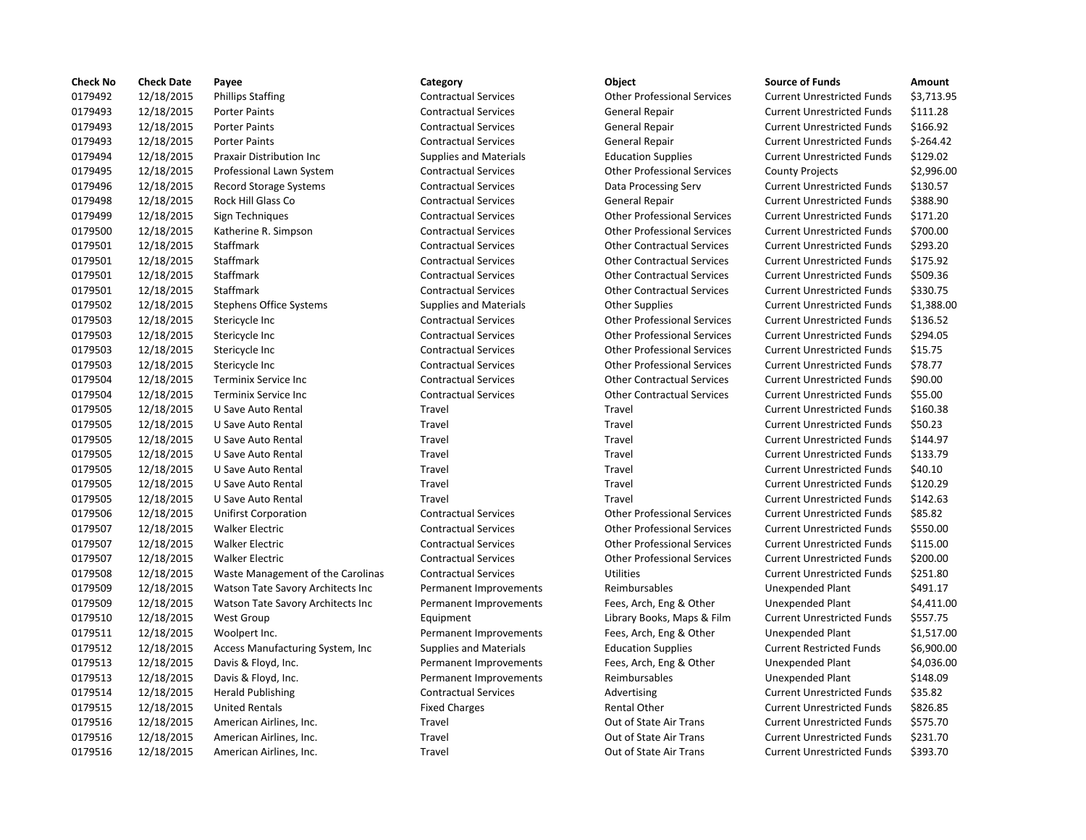| <b>Check No</b> | <b>Check Date</b> | Payee                             | Category                      | Object                             | <b>Source of Funds</b>            | Amount     |
|-----------------|-------------------|-----------------------------------|-------------------------------|------------------------------------|-----------------------------------|------------|
| 0179492         | 12/18/2015        | <b>Phillips Staffing</b>          | <b>Contractual Services</b>   | <b>Other Professional Services</b> | <b>Current Unrestricted Funds</b> | \$3,713.9  |
| 0179493         | 12/18/2015        | <b>Porter Paints</b>              | <b>Contractual Services</b>   | General Repair                     | <b>Current Unrestricted Funds</b> | \$111.28   |
| 0179493         | 12/18/2015        | <b>Porter Paints</b>              | <b>Contractual Services</b>   | <b>General Repair</b>              | <b>Current Unrestricted Funds</b> | \$166.92   |
| 0179493         | 12/18/2015        | <b>Porter Paints</b>              | <b>Contractual Services</b>   | <b>General Repair</b>              | <b>Current Unrestricted Funds</b> | $$-264.42$ |
| 0179494         | 12/18/2015        | Praxair Distribution Inc          | <b>Supplies and Materials</b> | <b>Education Supplies</b>          | <b>Current Unrestricted Funds</b> | \$129.02   |
| 0179495         | 12/18/2015        | Professional Lawn System          | <b>Contractual Services</b>   | <b>Other Professional Services</b> | <b>County Projects</b>            | \$2,996.0  |
| 0179496         | 12/18/2015        | <b>Record Storage Systems</b>     | <b>Contractual Services</b>   | Data Processing Serv               | <b>Current Unrestricted Funds</b> | \$130.57   |
| 0179498         | 12/18/2015        | Rock Hill Glass Co                | <b>Contractual Services</b>   | <b>General Repair</b>              | <b>Current Unrestricted Funds</b> | \$388.90   |
| 0179499         | 12/18/2015        | Sign Techniques                   | <b>Contractual Services</b>   | <b>Other Professional Services</b> | <b>Current Unrestricted Funds</b> | \$171.20   |
| 0179500         | 12/18/2015        | Katherine R. Simpson              | <b>Contractual Services</b>   | <b>Other Professional Services</b> | <b>Current Unrestricted Funds</b> | \$700.00   |
| 0179501         | 12/18/2015        | Staffmark                         | <b>Contractual Services</b>   | <b>Other Contractual Services</b>  | <b>Current Unrestricted Funds</b> | \$293.20   |
| 0179501         | 12/18/2015        | Staffmark                         | <b>Contractual Services</b>   | <b>Other Contractual Services</b>  | <b>Current Unrestricted Funds</b> | \$175.92   |
| 0179501         | 12/18/2015        | Staffmark                         | <b>Contractual Services</b>   | <b>Other Contractual Services</b>  | <b>Current Unrestricted Funds</b> | \$509.36   |
| 0179501         | 12/18/2015        | Staffmark                         | <b>Contractual Services</b>   | <b>Other Contractual Services</b>  | <b>Current Unrestricted Funds</b> | \$330.75   |
| 0179502         | 12/18/2015        | <b>Stephens Office Systems</b>    | <b>Supplies and Materials</b> | <b>Other Supplies</b>              | <b>Current Unrestricted Funds</b> | \$1,388.0  |
| 0179503         | 12/18/2015        | Stericycle Inc                    | <b>Contractual Services</b>   | <b>Other Professional Services</b> | <b>Current Unrestricted Funds</b> | \$136.52   |
| 0179503         | 12/18/2015        | Stericycle Inc                    | <b>Contractual Services</b>   | <b>Other Professional Services</b> | <b>Current Unrestricted Funds</b> | \$294.05   |
| 0179503         | 12/18/2015        | Stericycle Inc                    | <b>Contractual Services</b>   | <b>Other Professional Services</b> | <b>Current Unrestricted Funds</b> | \$15.75    |
| 0179503         | 12/18/2015        | Stericycle Inc                    | <b>Contractual Services</b>   | <b>Other Professional Services</b> | <b>Current Unrestricted Funds</b> | \$78.77    |
| 0179504         | 12/18/2015        | Terminix Service Inc              | <b>Contractual Services</b>   | <b>Other Contractual Services</b>  | <b>Current Unrestricted Funds</b> | \$90.00    |
| 0179504         | 12/18/2015        | Terminix Service Inc              | <b>Contractual Services</b>   | <b>Other Contractual Services</b>  | <b>Current Unrestricted Funds</b> | \$55.00    |
| 0179505         | 12/18/2015        | U Save Auto Rental                | Travel                        | Travel                             | <b>Current Unrestricted Funds</b> | \$160.38   |
| 0179505         | 12/18/2015        | U Save Auto Rental                | Travel                        | Travel                             | <b>Current Unrestricted Funds</b> | \$50.23    |
| 0179505         | 12/18/2015        | U Save Auto Rental                | Travel                        | Travel                             | <b>Current Unrestricted Funds</b> | \$144.97   |
| 0179505         | 12/18/2015        | U Save Auto Rental                | Travel                        | Travel                             | <b>Current Unrestricted Funds</b> | \$133.79   |
| 0179505         | 12/18/2015        | U Save Auto Rental                | Travel                        | Travel                             | <b>Current Unrestricted Funds</b> | \$40.10    |
| 0179505         | 12/18/2015        | U Save Auto Rental                | Travel                        | Travel                             | <b>Current Unrestricted Funds</b> | \$120.29   |
| 0179505         | 12/18/2015        | U Save Auto Rental                | Travel                        | Travel                             | <b>Current Unrestricted Funds</b> | \$142.63   |
| 0179506         | 12/18/2015        | Unifirst Corporation              | <b>Contractual Services</b>   | <b>Other Professional Services</b> | <b>Current Unrestricted Funds</b> | \$85.82    |
| 0179507         | 12/18/2015        | <b>Walker Electric</b>            | <b>Contractual Services</b>   | <b>Other Professional Services</b> | <b>Current Unrestricted Funds</b> | \$550.00   |
| 0179507         | 12/18/2015        | <b>Walker Electric</b>            | <b>Contractual Services</b>   | <b>Other Professional Services</b> | <b>Current Unrestricted Funds</b> | \$115.00   |
| 0179507         | 12/18/2015        | <b>Walker Electric</b>            | <b>Contractual Services</b>   | <b>Other Professional Services</b> | <b>Current Unrestricted Funds</b> | \$200.00   |
| 0179508         | 12/18/2015        | Waste Management of the Carolinas | <b>Contractual Services</b>   | <b>Utilities</b>                   | <b>Current Unrestricted Funds</b> | \$251.80   |
| 0179509         | 12/18/2015        | Watson Tate Savory Architects Inc | Permanent Improvements        | Reimbursables                      | Unexpended Plant                  | \$491.17   |
| 0179509         | 12/18/2015        | Watson Tate Savory Architects Inc | Permanent Improvements        | Fees, Arch, Eng & Other            | Unexpended Plant                  | \$4,411.0  |
| 0179510         | 12/18/2015        | <b>West Group</b>                 | Equipment                     | Library Books, Maps & Film         | <b>Current Unrestricted Funds</b> | \$557.75   |
| 0179511         | 12/18/2015        | Woolpert Inc.                     | Permanent Improvements        | Fees, Arch, Eng & Other            | <b>Unexpended Plant</b>           | \$1,517.0  |
| 0179512         | 12/18/2015        | Access Manufacturing System, Inc. | <b>Supplies and Materials</b> | <b>Education Supplies</b>          | <b>Current Restricted Funds</b>   | \$6,900.0  |
| 0179513         | 12/18/2015        | Davis & Floyd, Inc.               | Permanent Improvements        | Fees, Arch, Eng & Other            | Unexpended Plant                  | \$4,036.0  |
| 0179513         | 12/18/2015        | Davis & Floyd, Inc.               | Permanent Improvements        | Reimbursables                      | Unexpended Plant                  | \$148.09   |
| 0179514         | 12/18/2015        | <b>Herald Publishing</b>          | <b>Contractual Services</b>   | Advertising                        | <b>Current Unrestricted Funds</b> | \$35.82    |
| 0179515         | 12/18/2015        | <b>United Rentals</b>             | <b>Fixed Charges</b>          | <b>Rental Other</b>                | <b>Current Unrestricted Funds</b> | \$826.85   |
| 0179516         | 12/18/2015        | American Airlines, Inc.           | Travel                        | Out of State Air Trans             | <b>Current Unrestricted Funds</b> | \$575.70   |
| 0179516         | 12/18/2015        | American Airlines, Inc.           | Travel                        | Out of State Air Trans             | <b>Current Unrestricted Funds</b> | \$231.70   |
| 0179516         | 12/18/2015        | American Airlines, Inc.           | Travel                        | Out of State Air Trans             | <b>Current Unrestricted Funds</b> | \$393.70   |

### 12/18/2015 Porter Paints Contractual Services General Repair Current Unrestricted Funds \$111.28 12/18/2015 Porter Paints Contractual Services General Repair Current Unrestricted Funds \$166.92 Ontractual Services **12015 Contractual Services** General Repair Current Unrestricted Funds \$-264.42 12/18/2015 Praxair Distribution Inc Supplies and Materials Education Supplies Current Unrestricted Funds \$129.02 Contractual Services **12.995.00** Other Professional Services County Projects \$2,996.00 12/18/2015 Record Storage Systems Contractual Services Data Processing Serv Current Unrestricted Funds \$130.57 12/18/2015 Rock Hill Glass Co Contractual Services General Repair Current Unrestricted Funds \$388.90 12/18/2015 Sign Techniques Contractual Services Other Professional Services Current Unrestricted Funds \$171.20 12/18/2015 Katherine R. Simpson Contractual Services Other Professional Services Current Unrestricted Funds \$700.00 12/18/2015 Staffmark Contractual Services Other Contractual Services Current Unrestricted Funds \$293.20 12/18/2015 Staffmark Contractual Services Other Contractual Services Current Unrestricted Funds \$175.92 12/18/2015 Staffmark Contractual Services Other Contractual Services Current Unrestricted Funds \$509.36 12/18/2015 Staffmark Contractual Services Other Contractual Services Current Unrestricted Funds \$330.75 12/18/2015 Stephens Office Systems Supplies and Materials Other Supplies Current Unrestricted Funds \$1,388.00 12/18/2015 Stericycle Inc Contractual Services Other Professional Services Current Unrestricted Funds \$136.52 12/18/2015 Stericycle Inc Contractual Services Other Professional Services Current Unrestricted Funds \$294.05 12/18/2015 Stericycle Inc Contractual Services Other Professional Services Current Unrestricted Funds \$15.75 12/18/2015 Stericycle Inc Contractual Services Other Professional Services Current Unrestricted Funds \$78.77 12/18/2015 Terminix Service Inc Contractual Services Other Contractual Services Current Unrestricted Funds \$90.00 12/18/2015 Terminix Service Inc Contractual Services Other Contractual Services Current Unrestricted Funds \$55.00 Travel **12015** 1202 1218 Travel Travel Current Unrestricted Funds \$160.38 12/18/2015 U Save Auto Rental Travel Travel Current Unrestricted Funds \$50.23 12/18/2015 U Save Auto Rental Travel Travel Current Unrestricted Funds \$144.97 12/18/2015 U Save Auto Rental Travel Travel Current Unrestricted Funds \$133.79 Travel **Travel Travel Current Unrestricted Funds** \$40.10 Travel **Travel** Travel Travel Current Unrestricted Funds \$120.29 Travel **12015** 1202 1203 Travel Travel Current Unrestricted Funds \$142.63 12/18/2015 Unifirst Corporation Contractual Services Other Professional Services Current Unrestricted Funds \$85.82 12/18/2015 Walker Electric Contractual Services Other Professional Services Current Unrestricted Funds \$550.00 12/18/2015 Walker Electric Contractual Services Other Professional Services Current Unrestricted Funds \$115.00 12/18/2015 Walker Electric Contractual Services Other Professional Services Current Unrestricted Funds \$200.00 12/18/2015 Waste Management of the Carolinas Contractual Services Utilities Current Unrestricted Funds \$251.80 Permanent Improvements Reimbursables Unexpended Plant \$491.17 Permanent Improvements Fees, Arch, Eng & Other Unexpended Plant \$4,411.00 12/18/2015 West Group Equipment Library Books, Maps & Film Current Unrestricted Funds \$557.75 Permanent Improvements Fees, Arch, Eng & Other Unexpended Plant \$1,517.00 12/18/2015 Access Manufacturing System, Inc Supplies and Materials Education Supplies Current Restricted Funds \$6,900.00 Permanent Improvements Fees, Arch, Eng & Other Unexpended Plant \$4,036.00 Permanent Improvements Reimbursables Unexpended Plant \$148.09 12/18/2015 Herald Publishing Contractual Services Advertising Current Unrestricted Funds \$35.82 Fixed Charges The Rental Other Current Unrestricted Funds \$826.85 Travel **12015 12/18/2015 American Airlines, Inc. 2015** Current Unrestricted Funds \$575.70 Travel **12015** 12015 Cut of State Air Trans Current Unrestricted Funds 5231.70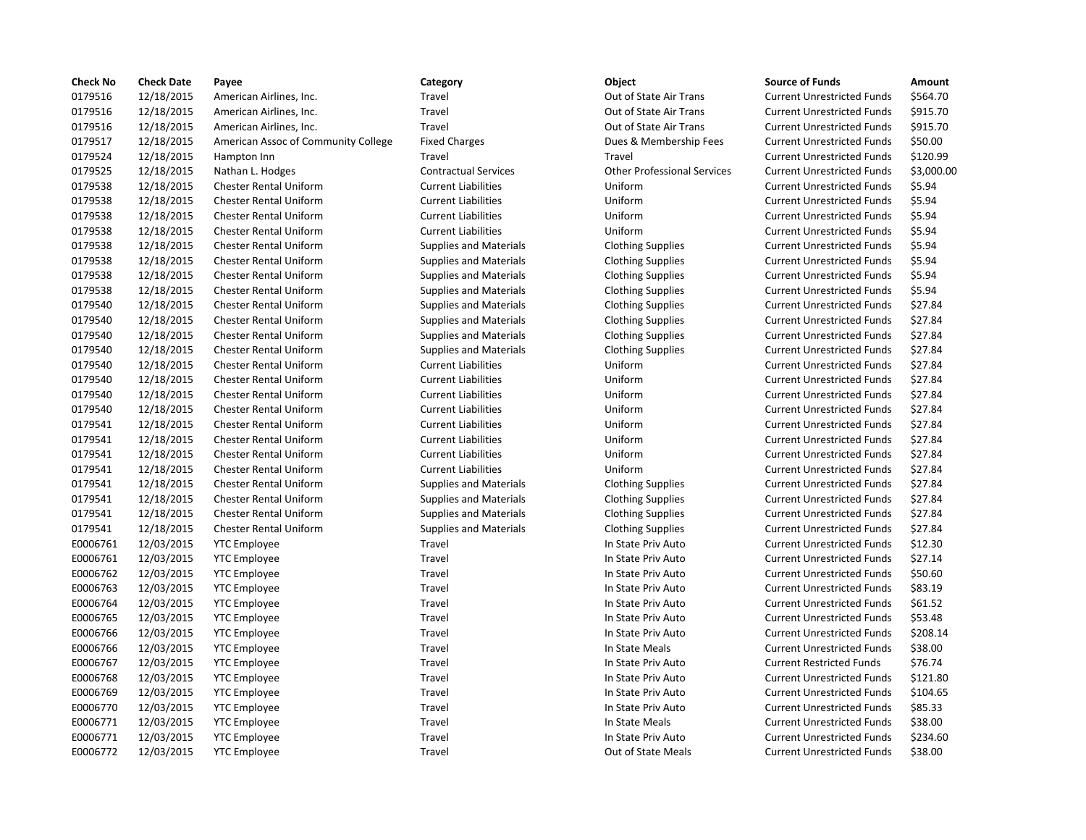| <b>Check No</b> | <b>Check Date</b> | Payee                               | Category                      | Object                             | <b>Source of Funds</b>            | Amount    |
|-----------------|-------------------|-------------------------------------|-------------------------------|------------------------------------|-----------------------------------|-----------|
| 0179516         | 12/18/2015        | American Airlines, Inc.             | Travel                        | Out of State Air Trans             | <b>Current Unrestricted Funds</b> | \$564.70  |
| 0179516         | 12/18/2015        | American Airlines, Inc.             | Travel                        | Out of State Air Trans             | <b>Current Unrestricted Funds</b> | \$915.70  |
| 0179516         | 12/18/2015        | American Airlines, Inc.             | Travel                        | Out of State Air Trans             | <b>Current Unrestricted Funds</b> | \$915.70  |
| 0179517         | 12/18/2015        | American Assoc of Community College | <b>Fixed Charges</b>          | Dues & Membership Fees             | <b>Current Unrestricted Funds</b> | \$50.00   |
| 0179524         | 12/18/2015        | Hampton Inn                         | Travel                        | Travel                             | <b>Current Unrestricted Funds</b> | \$120.99  |
| 0179525         | 12/18/2015        | Nathan L. Hodges                    | <b>Contractual Services</b>   | <b>Other Professional Services</b> | <b>Current Unrestricted Funds</b> | \$3,000.0 |
| 0179538         | 12/18/2015        | <b>Chester Rental Uniform</b>       | <b>Current Liabilities</b>    | Uniform                            | <b>Current Unrestricted Funds</b> | \$5.94    |
| 0179538         | 12/18/2015        | <b>Chester Rental Uniform</b>       | <b>Current Liabilities</b>    | Uniform                            | <b>Current Unrestricted Funds</b> | \$5.94    |
| 0179538         | 12/18/2015        | <b>Chester Rental Uniform</b>       | <b>Current Liabilities</b>    | Uniform                            | <b>Current Unrestricted Funds</b> | \$5.94    |
| 0179538         | 12/18/2015        | <b>Chester Rental Uniform</b>       | <b>Current Liabilities</b>    | Uniform                            | <b>Current Unrestricted Funds</b> | \$5.94    |
| 0179538         | 12/18/2015        | <b>Chester Rental Uniform</b>       | <b>Supplies and Materials</b> | <b>Clothing Supplies</b>           | <b>Current Unrestricted Funds</b> | \$5.94    |
| 0179538         | 12/18/2015        | <b>Chester Rental Uniform</b>       | <b>Supplies and Materials</b> | <b>Clothing Supplies</b>           | <b>Current Unrestricted Funds</b> | \$5.94    |
| 0179538         | 12/18/2015        | <b>Chester Rental Uniform</b>       | <b>Supplies and Materials</b> | <b>Clothing Supplies</b>           | <b>Current Unrestricted Funds</b> | \$5.94    |
| 0179538         | 12/18/2015        | <b>Chester Rental Uniform</b>       | <b>Supplies and Materials</b> | <b>Clothing Supplies</b>           | <b>Current Unrestricted Funds</b> | \$5.94    |
| 0179540         | 12/18/2015        | <b>Chester Rental Uniform</b>       | <b>Supplies and Materials</b> | <b>Clothing Supplies</b>           | <b>Current Unrestricted Funds</b> | \$27.84   |
| 0179540         | 12/18/2015        | <b>Chester Rental Uniform</b>       | <b>Supplies and Materials</b> | <b>Clothing Supplies</b>           | <b>Current Unrestricted Funds</b> | \$27.84   |
| 0179540         | 12/18/2015        | <b>Chester Rental Uniform</b>       | <b>Supplies and Materials</b> | <b>Clothing Supplies</b>           | <b>Current Unrestricted Funds</b> | \$27.84   |
| 0179540         | 12/18/2015        | <b>Chester Rental Uniform</b>       | <b>Supplies and Materials</b> | <b>Clothing Supplies</b>           | <b>Current Unrestricted Funds</b> | \$27.84   |
| 0179540         | 12/18/2015        | <b>Chester Rental Uniform</b>       | <b>Current Liabilities</b>    | Uniform                            | <b>Current Unrestricted Funds</b> | \$27.84   |
| 0179540         | 12/18/2015        | <b>Chester Rental Uniform</b>       | <b>Current Liabilities</b>    | Uniform                            | <b>Current Unrestricted Funds</b> | \$27.84   |
| 0179540         | 12/18/2015        | <b>Chester Rental Uniform</b>       | <b>Current Liabilities</b>    | Uniform                            | <b>Current Unrestricted Funds</b> | \$27.84   |
| 0179540         | 12/18/2015        | <b>Chester Rental Uniform</b>       | <b>Current Liabilities</b>    | Uniform                            | <b>Current Unrestricted Funds</b> | \$27.84   |
| 0179541         | 12/18/2015        | <b>Chester Rental Uniform</b>       | <b>Current Liabilities</b>    | Uniform                            | <b>Current Unrestricted Funds</b> | \$27.84   |
| 0179541         | 12/18/2015        | <b>Chester Rental Uniform</b>       | <b>Current Liabilities</b>    | Uniform                            | <b>Current Unrestricted Funds</b> | \$27.84   |
| 0179541         | 12/18/2015        | <b>Chester Rental Uniform</b>       | <b>Current Liabilities</b>    | Uniform                            | <b>Current Unrestricted Funds</b> | \$27.84   |
| 0179541         | 12/18/2015        | <b>Chester Rental Uniform</b>       | <b>Current Liabilities</b>    | Uniform                            | <b>Current Unrestricted Funds</b> | \$27.84   |
| 0179541         | 12/18/2015        | <b>Chester Rental Uniform</b>       | <b>Supplies and Materials</b> | <b>Clothing Supplies</b>           | <b>Current Unrestricted Funds</b> | \$27.84   |
| 0179541         | 12/18/2015        | <b>Chester Rental Uniform</b>       | <b>Supplies and Materials</b> | <b>Clothing Supplies</b>           | <b>Current Unrestricted Funds</b> | \$27.84   |
| 0179541         | 12/18/2015        | <b>Chester Rental Uniform</b>       | <b>Supplies and Materials</b> | <b>Clothing Supplies</b>           | <b>Current Unrestricted Funds</b> | \$27.84   |
| 0179541         | 12/18/2015        | <b>Chester Rental Uniform</b>       | <b>Supplies and Materials</b> | <b>Clothing Supplies</b>           | <b>Current Unrestricted Funds</b> | \$27.84   |
| E0006761        | 12/03/2015        | <b>YTC Employee</b>                 | Travel                        | In State Priv Auto                 | <b>Current Unrestricted Funds</b> | \$12.30   |
| E0006761        | 12/03/2015        | <b>YTC Employee</b>                 | Travel                        | In State Priv Auto                 | <b>Current Unrestricted Funds</b> | \$27.14   |
| E0006762        | 12/03/2015        | <b>YTC Employee</b>                 | Travel                        | In State Priv Auto                 | <b>Current Unrestricted Funds</b> | \$50.60   |
| E0006763        | 12/03/2015        | <b>YTC Employee</b>                 | Travel                        | In State Priv Auto                 | <b>Current Unrestricted Funds</b> | \$83.19   |
| E0006764        | 12/03/2015        | <b>YTC Employee</b>                 | Travel                        | In State Priv Auto                 | <b>Current Unrestricted Funds</b> | \$61.52   |
| E0006765        | 12/03/2015        | <b>YTC Employee</b>                 | Travel                        | In State Priv Auto                 | <b>Current Unrestricted Funds</b> | \$53.48   |
| E0006766        | 12/03/2015        | <b>YTC Employee</b>                 | Travel                        | In State Priv Auto                 | <b>Current Unrestricted Funds</b> | \$208.14  |
| E0006766        | 12/03/2015        | <b>YTC Employee</b>                 | Travel                        | In State Meals                     | <b>Current Unrestricted Funds</b> | \$38.00   |
| E0006767        | 12/03/2015        | <b>YTC Employee</b>                 | Travel                        | In State Priv Auto                 | <b>Current Restricted Funds</b>   | \$76.74   |
| E0006768        | 12/03/2015        | <b>YTC Employee</b>                 | Travel                        | In State Priv Auto                 | <b>Current Unrestricted Funds</b> | \$121.80  |
| E0006769        | 12/03/2015        | <b>YTC Employee</b>                 | Travel                        | In State Priv Auto                 | <b>Current Unrestricted Funds</b> | \$104.65  |
| E0006770        | 12/03/2015        | <b>YTC Employee</b>                 | Travel                        | In State Priv Auto                 | <b>Current Unrestricted Funds</b> | \$85.33   |
| E0006771        | 12/03/2015        | <b>YTC Employee</b>                 | Travel                        | In State Meals                     | <b>Current Unrestricted Funds</b> | \$38.00   |
| E0006771        | 12/03/2015        | <b>YTC Employee</b>                 | Travel                        | In State Priv Auto                 | <b>Current Unrestricted Funds</b> | \$234.60  |
| E0006772        | 12/03/2015        | <b>YTC Employee</b>                 | Travel                        | <b>Out of State Meals</b>          | <b>Current Unrestricted Funds</b> | \$38.00   |
|                 |                   |                                     |                               |                                    |                                   |           |

## Travel **12015 12015 12015 American Airlines**, Inc. Travel Out of State Air Trans Current Unrestricted Funds \$564.70 Travel **12015 12015 12015 American Airlines, Inc. New York Current Unrestricted Funds** 5915.70 Travel **12015 12015 12015 American Airlines** Current Unrestricted Funds \$915.70 Perimeter American American Association Community Community Community Community Community Conservation Community Community Community Community Community Community Community Community Community Community Community Community Travel **120195 Travel Travel Current Unrestricted Funds** \$120.99 0179525 12/18/2015 Nathan L. Hodges Contractual Services Other Professional Services Current Unrestricted Funds \$3,000.00 0179538 12/18/2015 Chester Rental Uniform Current Liabilities Uniform Current Unrestricted Funds \$5.94 0179538 12/18/2015 Chester Rental Uniform Current Liabilities Uniform Current Unrestricted Funds \$5.94 0179538 12/18/2015 Chester Rental Uniform Current Liabilities Uniform Current Unrestricted Funds \$5.94 0179538 12/18/2015 Chester Rental Uniform Current Liabilities Uniform Current Unrestricted Funds \$5.94 Supplies and Materials **Clothing Supplies Current Unrestricted Funds** \$5.94 Supplies and Materials **Clothing Supplies Current Unrestricted Funds** \$5.94 Supplies and Materials **Clothing Supplies Current Unrestricted Funds** \$5.94 Supplies and Materials **Clothing Supplies Current Unrestricted Funds** \$5.94 Outhing Supplies and Materials Clothing Supplies Current Unrestricted Funds \$27.84 Supplies and Materials **Clothing Supplies** Current Unrestricted Funds \$27.84 Onthing Supplies and Materials Clothing Supplies Current Unrestricted Funds \$27.84 0179540 12/18/2015 Chester Rental Uniform Supplies and Materials Clothing Supplies Current Unrestricted Funds \$27.84 0179540 12/18/2015 Chester Rental Uniform Current Liabilities Uniform Current Unrestricted Funds \$27.84 0179540 12/18/2015 Chester Rental Uniform Current Liabilities Uniform Current Unrestricted Funds \$27.84 0179540 12/18/2015 Chester Rental Uniform Current Liabilities Uniform Current Unrestricted Funds \$27.84 0179540 12/18/2015 Chester Rental Uniform Current Liabilities Uniform Current Unrestricted Funds \$27.84 0179541 12/18/2015 Chester Rental Uniform Current Liabilities Uniform Current Unrestricted Funds \$27.84 0179541 12/18/2015 Chester Rental Uniform Current Liabilities Uniform Current Unrestricted Funds \$27.84 0179541 12/18/2015 Chester Rental Uniform Current Liabilities Uniform Current Unrestricted Funds \$27.84 0179541 12/18/2015 Chester Rental Uniform Current Liabilities Uniform Current Unrestricted Funds \$27.84 Supplies and Materials **Clothing Supplies** Current Unrestricted Funds \$27.84 0179541 12/18/2015 Chester Rental Uniform Supplies and Materials Clothing Supplies Current Unrestricted Funds \$27.84 Supplies and Materials **Clothing Supplies** Current Unrestricted Funds \$27.84 0179541 12/18/2015 Chester Rental Uniform Supplies and Materials Clothing Supplies Current Unrestricted Funds \$27.84 E0006761 12/03/2015 YTC Employee Travel In State Priv Auto Current Unrestricted Funds \$12.30 Travel **Education Current Unrestricted Funds** 527.14 E0006762 12/03/2015 YTC Employee Travel In State Priv Auto Current Unrestricted Funds \$50.60 Travel **EXECUTE:** In State Priv Auto **Current Unrestricted Funds** \$83.19 Travel **EXECUTE:** Travel Travel In State Priv Auto Current Unrestricted Funds \$61.52 E0006765 12/03/2015 YTC Employee Travel In State Priv Auto Current Unrestricted Funds \$53.48 Travel **EXECUTE:** In State Priv Auto Current Unrestricted Funds \$208.14 Travel **EXECUTE:** In State Meals Current Unrestricted Funds \$38.00 Travel **Education Current Restricted Funds** 576.74 Travel **EXECUTE:** In State Priv Auto **Current Unrestricted Funds** \$121.80 E0006769 12/03/2015 YTC Employee Travel In State Priv Auto Current Unrestricted Funds \$104.65 Travel **EXECUCE 2006** 10 State Priv Auto Current Unrestricted Funds \$85.33 Travel **EXECUTE:** Travel In State Meals Current Unrestricted Funds \$38.00 Travel **EXECUTE:** In State Priv Auto **Current Unrestricted Funds** \$234.60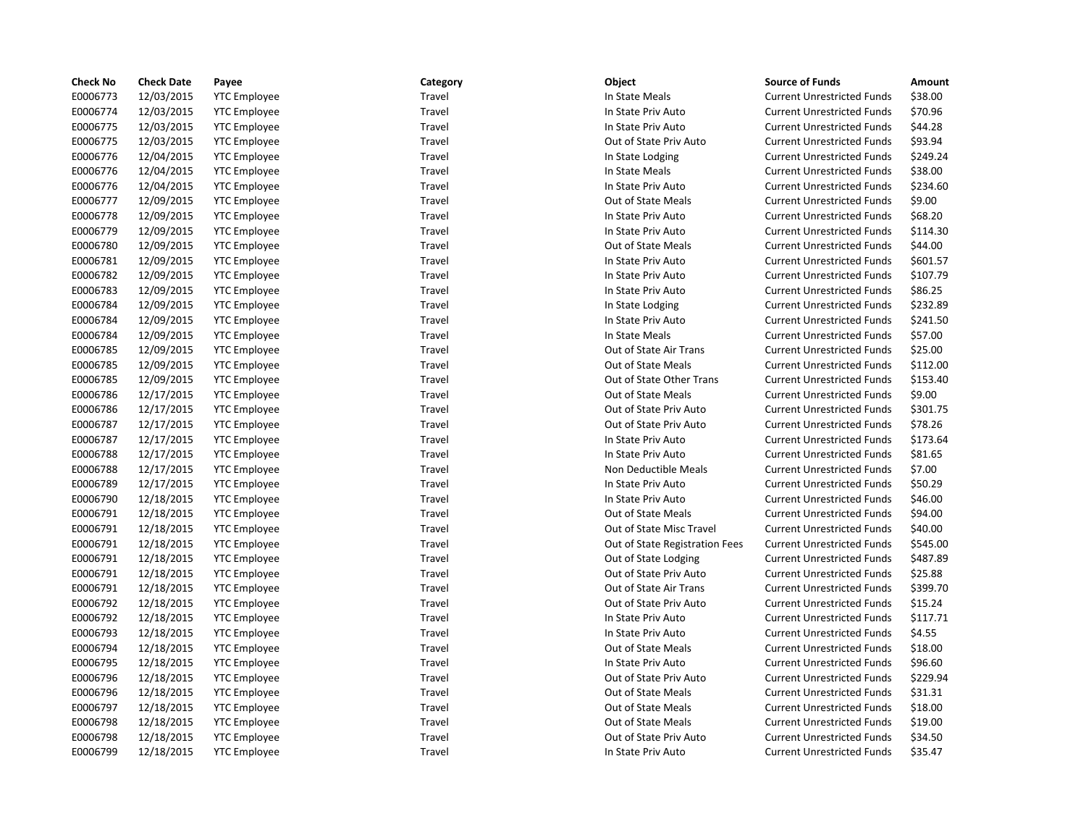| <b>Check No</b> | <b>Check Date</b> | Payee               | Category | Object                         | <b>Source of Funds</b>            | Amount   |
|-----------------|-------------------|---------------------|----------|--------------------------------|-----------------------------------|----------|
| E0006773        | 12/03/2015        | <b>YTC Employee</b> | Travel   | In State Meals                 | <b>Current Unrestricted Funds</b> | \$38.00  |
| E0006774        | 12/03/2015        | <b>YTC Employee</b> | Travel   | In State Priv Auto             | <b>Current Unrestricted Funds</b> | \$70.96  |
| E0006775        | 12/03/2015        | <b>YTC Employee</b> | Travel   | In State Priv Auto             | <b>Current Unrestricted Funds</b> | \$44.28  |
| E0006775        | 12/03/2015        | <b>YTC Employee</b> | Travel   | Out of State Priv Auto         | <b>Current Unrestricted Funds</b> | \$93.94  |
| E0006776        | 12/04/2015        | <b>YTC Employee</b> | Travel   | In State Lodging               | <b>Current Unrestricted Funds</b> | \$249.24 |
| E0006776        | 12/04/2015        | <b>YTC Employee</b> | Travel   | In State Meals                 | <b>Current Unrestricted Funds</b> | \$38.00  |
| E0006776        | 12/04/2015        | <b>YTC Employee</b> | Travel   | In State Priv Auto             | <b>Current Unrestricted Funds</b> | \$234.60 |
| E0006777        | 12/09/2015        | <b>YTC Employee</b> | Travel   | Out of State Meals             | <b>Current Unrestricted Funds</b> | \$9.00   |
| E0006778        | 12/09/2015        | <b>YTC Employee</b> | Travel   | In State Priv Auto             | <b>Current Unrestricted Funds</b> | \$68.20  |
| E0006779        | 12/09/2015        | <b>YTC Employee</b> | Travel   | In State Priv Auto             | <b>Current Unrestricted Funds</b> | \$114.30 |
| E0006780        | 12/09/2015        | <b>YTC Employee</b> | Travel   | Out of State Meals             | <b>Current Unrestricted Funds</b> | \$44.00  |
| E0006781        | 12/09/2015        | <b>YTC Employee</b> | Travel   | In State Priv Auto             | <b>Current Unrestricted Funds</b> | \$601.57 |
| E0006782        | 12/09/2015        | <b>YTC Employee</b> | Travel   | In State Priv Auto             | <b>Current Unrestricted Funds</b> | \$107.79 |
| E0006783        | 12/09/2015        | <b>YTC Employee</b> | Travel   | In State Priv Auto             | <b>Current Unrestricted Funds</b> | \$86.25  |
| E0006784        | 12/09/2015        | <b>YTC Employee</b> | Travel   | In State Lodging               | <b>Current Unrestricted Funds</b> | \$232.89 |
| E0006784        | 12/09/2015        | <b>YTC Employee</b> | Travel   | In State Priv Auto             | <b>Current Unrestricted Funds</b> | \$241.50 |
| E0006784        | 12/09/2015        | <b>YTC Employee</b> | Travel   | In State Meals                 | <b>Current Unrestricted Funds</b> | \$57.00  |
| E0006785        | 12/09/2015        | <b>YTC Employee</b> | Travel   | Out of State Air Trans         | <b>Current Unrestricted Funds</b> | \$25.00  |
| E0006785        | 12/09/2015        | <b>YTC Employee</b> | Travel   | Out of State Meals             | <b>Current Unrestricted Funds</b> | \$112.00 |
| E0006785        | 12/09/2015        | <b>YTC Employee</b> | Travel   | Out of State Other Trans       | <b>Current Unrestricted Funds</b> | \$153.40 |
| E0006786        | 12/17/2015        | <b>YTC Employee</b> | Travel   | Out of State Meals             | <b>Current Unrestricted Funds</b> | \$9.00   |
| E0006786        | 12/17/2015        | <b>YTC Employee</b> | Travel   | Out of State Priv Auto         | <b>Current Unrestricted Funds</b> | \$301.75 |
| E0006787        | 12/17/2015        | <b>YTC Employee</b> | Travel   | Out of State Priv Auto         | <b>Current Unrestricted Funds</b> | \$78.26  |
| E0006787        | 12/17/2015        | <b>YTC Employee</b> | Travel   | In State Priv Auto             | <b>Current Unrestricted Funds</b> | \$173.64 |
| E0006788        | 12/17/2015        | <b>YTC Employee</b> | Travel   | In State Priv Auto             | <b>Current Unrestricted Funds</b> | \$81.65  |
| E0006788        | 12/17/2015        | <b>YTC Employee</b> | Travel   | Non Deductible Meals           | <b>Current Unrestricted Funds</b> | \$7.00   |
| E0006789        | 12/17/2015        | <b>YTC Employee</b> | Travel   | In State Priv Auto             | <b>Current Unrestricted Funds</b> | \$50.29  |
| E0006790        | 12/18/2015        | <b>YTC Employee</b> | Travel   | In State Priv Auto             | <b>Current Unrestricted Funds</b> | \$46.00  |
| E0006791        | 12/18/2015        | <b>YTC Employee</b> | Travel   | Out of State Meals             | <b>Current Unrestricted Funds</b> | \$94.00  |
| E0006791        | 12/18/2015        | <b>YTC Employee</b> | Travel   | Out of State Misc Travel       | <b>Current Unrestricted Funds</b> | \$40.00  |
| E0006791        | 12/18/2015        | <b>YTC Employee</b> | Travel   | Out of State Registration Fees | <b>Current Unrestricted Funds</b> | \$545.00 |
| E0006791        | 12/18/2015        | <b>YTC Employee</b> | Travel   | Out of State Lodging           | <b>Current Unrestricted Funds</b> | \$487.89 |
| E0006791        | 12/18/2015        | <b>YTC Employee</b> | Travel   | Out of State Priv Auto         | <b>Current Unrestricted Funds</b> | \$25.88  |
| E0006791        | 12/18/2015        | <b>YTC Employee</b> | Travel   | Out of State Air Trans         | <b>Current Unrestricted Funds</b> | \$399.70 |
| E0006792        | 12/18/2015        | <b>YTC Employee</b> | Travel   | Out of State Priv Auto         | <b>Current Unrestricted Funds</b> | \$15.24  |
| E0006792        | 12/18/2015        | <b>YTC Employee</b> | Travel   | In State Priv Auto             | <b>Current Unrestricted Funds</b> | \$117.71 |
| E0006793        | 12/18/2015        | <b>YTC Employee</b> | Travel   | In State Priv Auto             | <b>Current Unrestricted Funds</b> | \$4.55   |
| E0006794        | 12/18/2015        | <b>YTC Employee</b> | Travel   | Out of State Meals             | <b>Current Unrestricted Funds</b> | \$18.00  |
| E0006795        | 12/18/2015        | <b>YTC Employee</b> | Travel   | In State Priv Auto             | <b>Current Unrestricted Funds</b> | \$96.60  |
| E0006796        | 12/18/2015        | <b>YTC Employee</b> | Travel   | Out of State Priv Auto         | <b>Current Unrestricted Funds</b> | \$229.94 |
| E0006796        | 12/18/2015        | <b>YTC Employee</b> | Travel   | Out of State Meals             | <b>Current Unrestricted Funds</b> | \$31.31  |
| E0006797        | 12/18/2015        | <b>YTC Employee</b> | Travel   | Out of State Meals             | <b>Current Unrestricted Funds</b> | \$18.00  |
| E0006798        | 12/18/2015        | <b>YTC Employee</b> | Travel   | Out of State Meals             | <b>Current Unrestricted Funds</b> | \$19.00  |
| E0006798        | 12/18/2015        | <b>YTC Employee</b> | Travel   | Out of State Priv Auto         | <b>Current Unrestricted Funds</b> | \$34.50  |
| E0006799        | 12/18/2015        | <b>YTC</b> Employee | Travel   | In State Priv Auto             | <b>Current Unrestricted Funds</b> | \$35.47  |